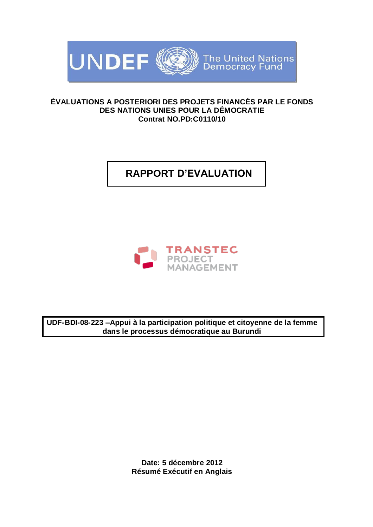

### **ÉVALUATIONS A POSTERIORI DES PROJETS FINANCÉS PAR LE FONDS DES NATIONS UNIES POUR LA DÉMOCRATIE Contrat NO.PD:C0110/10**

# **RAPPORT D'EVALUATION**



**UDF-BDI-08-223 –Appui à la participation politique et citoyenne de la femme dans le processus démocratique au Burundi**

> **Date: 5 décembre 2012 Résumé Exécutif en Anglais**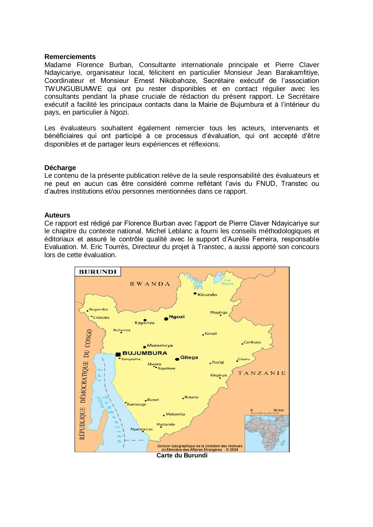#### **Remerciements**

Madame Florence Burban, Consultante internationale principale et Pierre Claver Ndayicariye, organisateur local, félicitent en particulier Monsieur Jean Barakamfitiye, Coordinateur et Monsieur Ernest Nikobahoze, Secrétaire exécutif de l'association TWUNGUBUMWE qui ont pu rester disponibles et en contact régulier avec les consultants pendant la phase cruciale de rédaction du présent rapport. Le Secrétaire exécutif a facilité les principaux contacts dans la Mairie de Bujumbura et à l'intérieur du pays, en particulier à Ngozi.

Les évaluateurs souhaitent également remercier tous les acteurs, intervenants et bénéficiaires qui ont participé à ce processus d'évaluation, qui ont accepté d'être disponibles et de partager leurs expériences et réflexions.

#### **Décharge**

Le contenu de la présente publication relève de la seule responsabilité des évaluateurs et ne peut en aucun cas être considéré comme reflétant l'avis du FNUD, Transtec ou d'autres institutions et/ou personnes mentionnées dans ce rapport.

#### **Auteurs**

Ce rapport est rédigé par Florence Burban avec l'apport de Pierre Claver Ndayicariye sur le chapitre du contexte national. Michel Leblanc a fourni les conseils méthodologiques et éditoriaux et assuré le contrôle qualité avec le support d'Aurélie Ferreira, responsable Evaluation. M. Eric Tourrès, Directeur du projet à Transtec, a aussi apporté son concours lors de cette évaluation.

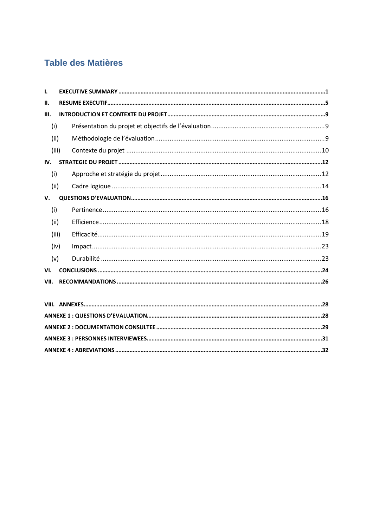# Table des Matières

| Ι.    |  |  |  |  |  |  |
|-------|--|--|--|--|--|--|
| Ш.    |  |  |  |  |  |  |
| Ш.    |  |  |  |  |  |  |
| (i)   |  |  |  |  |  |  |
| (ii)  |  |  |  |  |  |  |
| (iii) |  |  |  |  |  |  |
| IV.   |  |  |  |  |  |  |
| (i)   |  |  |  |  |  |  |
| (iii) |  |  |  |  |  |  |
| V.    |  |  |  |  |  |  |
| (i)   |  |  |  |  |  |  |
| (ii)  |  |  |  |  |  |  |
| (iii) |  |  |  |  |  |  |
| (iv)  |  |  |  |  |  |  |
| (v)   |  |  |  |  |  |  |
| VI.   |  |  |  |  |  |  |
| VII.  |  |  |  |  |  |  |
|       |  |  |  |  |  |  |
|       |  |  |  |  |  |  |
|       |  |  |  |  |  |  |
|       |  |  |  |  |  |  |
|       |  |  |  |  |  |  |
|       |  |  |  |  |  |  |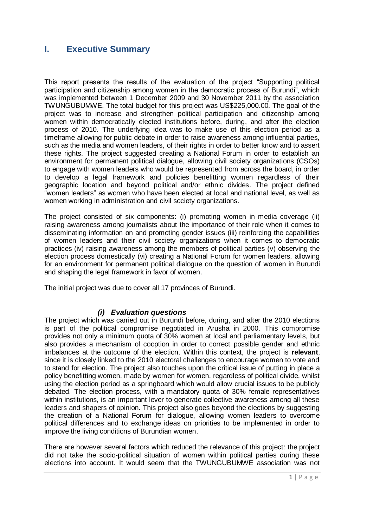### <span id="page-3-0"></span>**I. Executive Summary**

This report presents the results of the evaluation of the project "Supporting political participation and citizenship among women in the democratic process of Burundi", which was implemented between 1 December 2009 and 30 November 2011 by the association TWUNGUBUMWE. The total budget for this project was US\$225,000.00. The goal of the project was to increase and strengthen political participation and citizenship among women within democratically elected institutions before, during, and after the election process of 2010. The underlying idea was to make use of this election period as a timeframe allowing for public debate in order to raise awareness among influential parties, such as the media and women leaders, of their rights in order to better know and to assert these rights. The project suggested creating a National Forum in order to establish an environment for permanent political dialogue, allowing civil society organizations (CSOs) to engage with women leaders who would be represented from across the board, in order to develop a legal framework and policies benefitting women regardless of their geographic location and beyond political and/or ethnic divides. The project defined "women leaders" as women who have been elected at local and national level, as well as women working in administration and civil society organizations.

The project consisted of six components: (i) promoting women in media coverage (ii) raising awareness among journalists about the importance of their role when it comes to disseminating information on and promoting gender issues (iii) reinforcing the capabilities of women leaders and their civil society organizations when it comes to democratic practices (iv) raising awareness among the members of political parties (v) observing the election process domestically (vi) creating a National Forum for women leaders, allowing for an environment for permanent political dialogue on the question of women in Burundi and shaping the legal framework in favor of women.

The initial project was due to cover all 17 provinces of Burundi.

#### *(i) Evaluation questions*

The project which was carried out in Burundi before, during, and after the 2010 elections is part of the political compromise negotiated in Arusha in 2000. This compromise provides not only a minimum quota of 30% women at local and parliamentary levels, but also provides a mechanism of cooption in order to correct possible gender and ethnic imbalances at the outcome of the election. Within this context, the project is **relevant**, since it is closely linked to the 2010 electoral challenges to encourage women to vote and to stand for election. The project also touches upon the critical issue of putting in place a policy benefitting women, made by women for women, regardless of political divide, whilst using the election period as a springboard which would allow crucial issues to be publicly debated. The election process, with a mandatory quota of 30% female representatives within institutions, is an important lever to generate collective awareness among all these leaders and shapers of opinion. This project also goes beyond the elections by suggesting the creation of a National Forum for dialogue, allowing women leaders to overcome political differences and to exchange ideas on priorities to be implemented in order to improve the living conditions of Burundian women.

There are however several factors which reduced the relevance of this project: the project did not take the socio-political situation of women within political parties during these elections into account. It would seem that the TWUNGUBUMWE association was not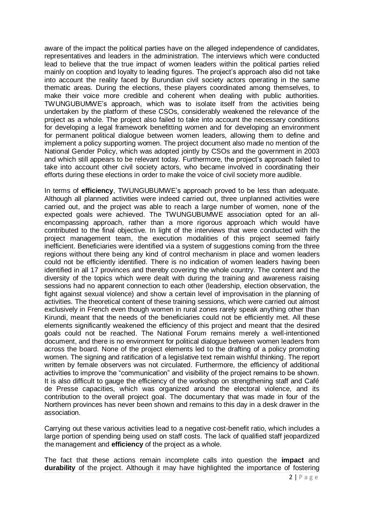aware of the impact the political parties have on the alleged independence of candidates, representatives and leaders in the administration. The interviews which were conducted lead to believe that the true impact of women leaders within the political parties relied mainly on cooption and loyalty to leading figures. The project's approach also did not take into account the reality faced by Burundian civil society actors operating in the same thematic areas. During the elections, these players coordinated among themselves, to make their voice more credible and coherent when dealing with public authorities. TWUNGUBUMWE's approach, which was to isolate itself from the activities being undertaken by the platform of these CSOs, considerably weakened the relevance of the project as a whole. The project also failed to take into account the necessary conditions for developing a legal framework benefitting women and for developing an environment for permanent political dialogue between women leaders, allowing them to define and implement a policy supporting women. The project document also made no mention of the National Gender Policy, which was adopted jointly by CSOs and the government in 2003 and which still appears to be relevant today. Furthermore, the project's approach failed to take into account other civil society actors, who became involved in coordinating their efforts during these elections in order to make the voice of civil society more audible.

In terms of **efficiency**, TWUNGUBUMWE's approach proved to be less than adequate. Although all planned activities were indeed carried out, three unplanned activities were carried out, and the project was able to reach a large number of women, none of the expected goals were achieved. The TWUNGUBUMWE association opted for an allencompassing approach, rather than a more rigorous approach which would have contributed to the final objective. In light of the interviews that were conducted with the project management team, the execution modalities of this project seemed fairly inefficient. Beneficiaries were identified via a system of suggestions coming from the three regions without there being any kind of control mechanism in place and women leaders could not be efficiently identified. There is no indication of women leaders having been identified in all 17 provinces and thereby covering the whole country. The content and the diversity of the topics which were dealt with during the training and awareness raising sessions had no apparent connection to each other (leadership, election observation, the fight against sexual violence) and show a certain level of improvisation in the planning of activities. The theoretical content of these training sessions, which were carried out almost exclusively in French even though women in rural zones rarely speak anything other than Kirundi, meant that the needs of the beneficiaries could not be efficiently met. All these elements significantly weakened the efficiency of this project and meant that the desired goals could not be reached. The National Forum remains merely a well-intentioned document, and there is no environment for political dialogue between women leaders from across the board. None of the project elements led to the drafting of a policy promoting women. The signing and ratification of a legislative text remain wishful thinking. The report written by female observers was not circulated. Furthermore, the efficiency of additional activities to improve the "communication" and visibility of the project remains to be shown. It is also difficult to gauge the efficiency of the workshop on strengthening staff and Café de Presse capacities, which was organized around the electoral violence, and its contribution to the overall project goal. The documentary that was made in four of the Northern provinces has never been shown and remains to this day in a desk drawer in the association.

Carrying out these various activities lead to a negative cost-benefit ratio, which includes a large portion of spending being used on staff costs. The lack of qualified staff jeopardized the management and **efficiency** of the project as a whole.

The fact that these actions remain incomplete calls into question the **impact** and **durability** of the project. Although it may have highlighted the importance of fostering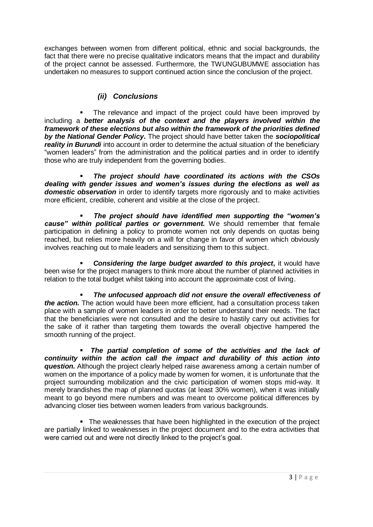exchanges between women from different political, ethnic and social backgrounds, the fact that there were no precise qualitative indicators means that the impact and durability of the project cannot be assessed. Furthermore, the TWUNGUBUMWE association has undertaken no measures to support continued action since the conclusion of the project.

### *(ii) Conclusions*

 The relevance and impact of the project could have been improved by including a *better analysis of the context and the players involved within the framework of these elections but also within the framework of the priorities defined by the National Gender Policy***.** The project should have better taken the *sociopolitical reality in Burundi* into account in order to determine the actual situation of the beneficiary "women leaders" from the administration and the political parties and in order to identify those who are truly independent from the governing bodies.

 *The project should have coordinated its actions with the CSOs dealing with gender issues and women's issues during the elections as well as domestic observation* in order to identify targets more rigorously and to make activities more efficient, credible, coherent and visible at the close of the project.

 *The project should have identified men supporting the "women's cause" within political parties or government.* We should remember that female participation in defining a policy to promote women not only depends on quotas being reached, but relies more heavily on a will for change in favor of women which obviously involves reaching out to male leaders and sensitizing them to this subject.

**Considering the large budget awarded to this project, it would have** been wise for the project managers to think more about the number of planned activities in relation to the total budget whilst taking into account the approximate cost of living.

 *The unfocused approach did not ensure the overall effectiveness of the action.* The action would have been more efficient, had a consultation process taken place with a sample of women leaders in order to better understand their needs. The fact that the beneficiaries were not consulted and the desire to hastily carry out activities for the sake of it rather than targeting them towards the overall objective hampered the smooth running of the project.

 *The partial completion of some of the activities and the lack of continuity within the action call the impact and durability of this action into question.* Although the project clearly helped raise awareness among a certain number of women on the importance of a policy made by women for women, it is unfortunate that the project surrounding mobilization and the civic participation of women stops mid-way. It merely brandishes the map of planned quotas (at least 30% women), when it was initially meant to go beyond mere numbers and was meant to overcome political differences by advancing closer ties between women leaders from various backgrounds.

 The weaknesses that have been highlighted in the execution of the project are partially linked to weaknesses in the project document and to the extra activities that were carried out and were not directly linked to the project's goal.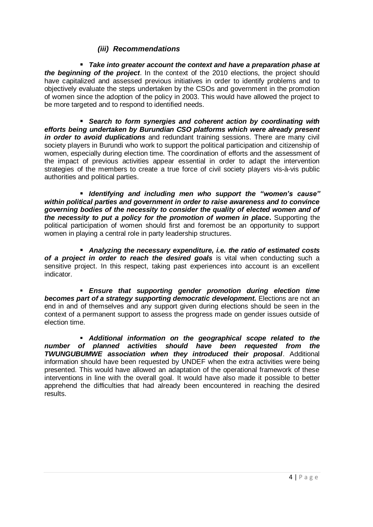#### *(iii) Recommendations*

 *Take into greater account the context and have a preparation phase at the beginning of the project*. In the context of the 2010 elections, the project should have capitalized and assessed previous initiatives in order to identify problems and to objectively evaluate the steps undertaken by the CSOs and government in the promotion of women since the adoption of the policy in 2003. This would have allowed the project to be more targeted and to respond to identified needs.

 *Search to form synergies and coherent action by coordinating with efforts being undertaken by Burundian CSO platforms which were already present in order to avoid duplications* and redundant training sessions. There are many civil society players in Burundi who work to support the political participation and citizenship of women, especially during election time. The coordination of efforts and the assessment of the impact of previous activities appear essential in order to adapt the intervention strategies of the members to create a true force of civil society players vis-à-vis public authorities and political parties.

 *Identifying and including men who support the "women's cause" within political parties and government in order to raise awareness and to convince governing bodies of the necessity to consider the quality of elected women and of the necessity to put a policy for the promotion of women in place***.** Supporting the political participation of women should first and foremost be an opportunity to support women in playing a central role in party leadership structures.

 *Analyzing the necessary expenditure, i.e. the ratio of estimated costs*  **of a project in order to reach the desired goals** is vital when conducting such a sensitive project. In this respect, taking past experiences into account is an excellent indicator.

 *Ensure that supporting gender promotion during election time becomes part of a strategy supporting democratic development.* Elections are not an end in and of themselves and any support given during elections should be seen in the context of a permanent support to assess the progress made on gender issues outside of election time.

 *Additional information on the geographical scope related to the number of planned activities should have been requested from the TWUNGUBUMWE association when they introduced their proposal*. Additional information should have been requested by UNDEF when the extra activities were being presented. This would have allowed an adaptation of the operational framework of these interventions in line with the overall goal. It would have also made it possible to better apprehend the difficulties that had already been encountered in reaching the desired results.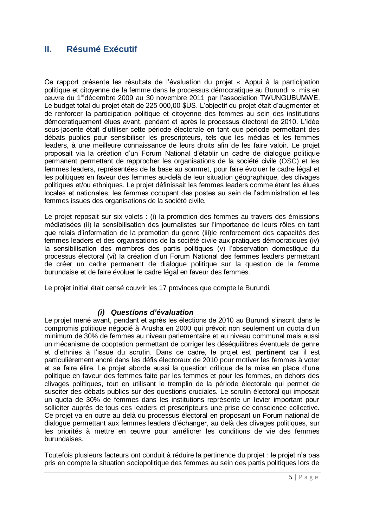## <span id="page-7-0"></span>**II. Résumé Exécutif**

Ce rapport présente les résultats de l'évaluation du projet « Appui à la participation politique et citoyenne de la femme dans le processus démocratique au Burundi », mis en œuvre du 1erdécembre 2009 au 30 novembre 2011 par l'association TWUNGUBUMWE. Le budget total du projet était de 225 000,00 \$US. L'objectif du projet était d'augmenter et de renforcer la participation politique et citoyenne des femmes au sein des institutions démocratiquement élues avant, pendant et après le processus électoral de 2010. L'idée sous-jacente était d'utiliser cette période électorale en tant que période permettant des débats publics pour sensibiliser les prescripteurs, tels que les médias et les femmes leaders, à une meilleure connaissance de leurs droits afin de les faire valoir. Le projet proposait via la création d'un Forum National d'établir un cadre de dialogue politique permanent permettant de rapprocher les organisations de la société civile (OSC) et les femmes leaders, représentées de la base au sommet, pour faire évoluer le cadre légal et les politiques en faveur des femmes au-delà de leur situation géographique, des clivages politiques et/ou ethniques. Le projet définissait les femmes leaders comme étant les élues locales et nationales, les femmes occupant des postes au sein de l'administration et les femmes issues des organisations de la société civile.

Le projet reposait sur six volets : (i) la promotion des femmes au travers des émissions médiatisées (ii) la sensibilisation des journalistes sur l'importance de leurs rôles en tant que relais d'information de la promotion du genre (iii)le renforcement des capacités des femmes leaders et des organisations de la société civile aux pratiques démocratiques (iv) la sensibilisation des membres des partis politiques (v) l'observation domestique du processus électoral (vi) la création d'un Forum National des femmes leaders permettant de créer un cadre permanent de dialogue politique sur la question de la femme burundaise et de faire évoluer le cadre légal en faveur des femmes.

Le projet initial était censé couvrir les 17 provinces que compte le Burundi.

#### *(i) Questions d'évaluation*

Le projet mené avant, pendant et après les élections de 2010 au Burundi s'inscrit dans le compromis politique négocié à Arusha en 2000 qui prévoit non seulement un quota d'un minimum de 30% de femmes au niveau parlementaire et au niveau communal mais aussi un mécanisme de cooptation permettant de corriger les déséquilibres éventuels de genre et d'ethnies à l'issue du scrutin. Dans ce cadre, le projet est **pertinent** car il est particulièrement ancré dans les défis électoraux de 2010 pour motiver les femmes à voter et se faire élire. Le projet aborde aussi la question critique de la mise en place d'une politique en faveur des femmes faite par les femmes et pour les femmes, en dehors des clivages politiques, tout en utilisant le tremplin de la période électorale qui permet de susciter des débats publics sur des questions cruciales. Le scrutin électoral qui imposait un quota de 30% de femmes dans les institutions représente un levier important pour solliciter auprès de tous ces leaders et prescripteurs une prise de conscience collective. Ce projet va en outre au delà du processus électoral en proposant un Forum national de dialogue permettant aux femmes leaders d'échanger, au delà des clivages politiques, sur les priorités à mettre en œuvre pour améliorer les conditions de vie des femmes burundaises.

Toutefois plusieurs facteurs ont conduit à réduire la pertinence du projet : le projet n'a pas pris en compte la situation sociopolitique des femmes au sein des partis politiques lors de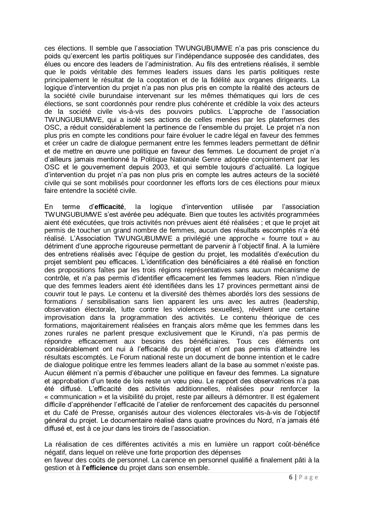ces élections. Il semble que l'association TWUNGUBUMWE n'a pas pris conscience du poids qu'exercent les partis politiques sur l'indépendance supposée des candidates, des élues ou encore des leaders de l'administration. Au fils des entretiens réalisés, il semble que le poids véritable des femmes leaders issues dans les partis politiques reste principalement le résultat de la cooptation et de la fidélité aux organes dirigeants. La logique d'intervention du projet n'a pas non plus pris en compte la réalité des acteurs de la société civile burundaise intervenant sur les mêmes thématiques qui lors de ces élections, se sont coordonnés pour rendre plus cohérente et crédible la voix des acteurs de la société civile vis-à-vis des pouvoirs publics. L'approche de l'association TWUNGUBUMWE, qui a isolé ses actions de celles menées par les plateformes des OSC, a réduit considérablement la pertinence de l'ensemble du projet. Le projet n'a non plus pris en compte les conditions pour faire évoluer le cadre légal en faveur des femmes et créer un cadre de dialogue permanent entre les femmes leaders permettant de définir et de mettre en œuvre une politique en faveur des femmes. Le document de projet n'a d'ailleurs jamais mentionné la Politique Nationale Genre adoptée conjointement par les OSC et le gouvernement depuis 2003, et qui semble toujours d'actualité. La logique d'intervention du projet n'a pas non plus pris en compte les autres acteurs de la société civile qui se sont mobilisés pour coordonner les efforts lors de ces élections pour mieux faire entendre la société civile.

En terme d'**efficacité**, la logique d'intervention utilisée par l'association TWUNGUBUMWE s'est avérée peu adéquate. Bien que toutes les activités programmées aient été exécutées, que trois activités non prévues aient été réalisées ; et que le projet ait permis de toucher un grand nombre de femmes, aucun des résultats escomptés n'a été réalisé. L'Association TWUNGUBUMWE a privilégié une approche « fourre tout » au détriment d'une approche rigoureuse permettant de parvenir à l'objectif final. A la lumière des entretiens réalisés avec l'équipe de gestion du projet, les modalités d'exécution du projet semblent peu efficaces. L'identification des bénéficiaires a été réalisé en fonction des propositions faîtes par les trois régions représentatives sans aucun mécanisme de contrôle, et n'a pas permis d'identifier efficacement les femmes leaders. Rien n'indique que des femmes leaders aient été identifiées dans les 17 provinces permettant ainsi de couvrir tout le pays. Le contenu et la diversité des thèmes abordés lors des sessions de formations / sensibilisation sans lien apparent les uns avec les autres (leadership, observation électorale, lutte contre les violences sexuelles), révèlent une certaine improvisation dans la programmation des activités. Le contenu théorique de ces formations, majoritairement réalisées en français alors même que les femmes dans les zones rurales ne parlent presque exclusivement que le Kirundi, n'a pas permis de répondre efficacement aux besoins des bénéficiaires. Tous ces éléments ont considérablement ont nui à l'efficacité du projet et n'ont pas permis d'atteindre les résultats escomptés. Le Forum national reste un document de bonne intention et le cadre de dialogue politique entre les femmes leaders allant de la base au sommet n'existe pas. Aucun élément n'a permis d'ébaucher une politique en faveur des femmes. La signature et approbation d'un texte de lois reste un vœu pieu. Le rapport des observatrices n'a pas été diffusé. L'efficacité des activités additionnelles, réalisées pour renforcer la « communication » et la visibilité du projet, reste par ailleurs à démontrer. Il est également difficile d'appréhender l'efficacité de l'atelier de renforcement des capacités du personnel et du Café de Presse, organisés autour des violences électorales vis-à-vis de l'objectif général du projet. Le documentaire réalisé dans quatre provinces du Nord, n'a jamais été diffusé et, est à ce jour dans les tiroirs de l'association.

La réalisation de ces différentes activités a mis en lumière un rapport coût-bénéfice négatif, dans lequel on relève une forte proportion des dépenses en faveur des coûts de personnel. La carence en personnel qualifié a finalement pâti à la

gestion et à **l'efficience** du projet dans son ensemble.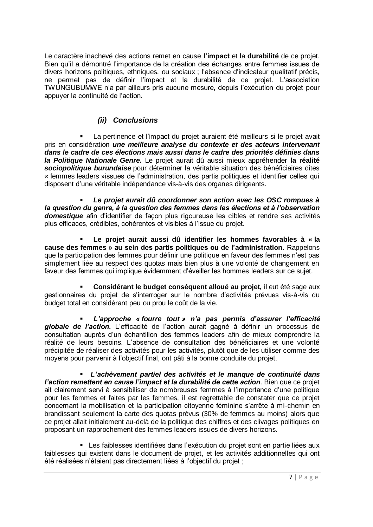Le caractère inachevé des actions remet en cause **l'impact** et la **durabilité** de ce projet. Bien qu'il a démontré l'importance de la création des échanges entre femmes issues de divers horizons politiques, ethniques, ou sociaux ; l'absence d'indicateur qualitatif précis, ne permet pas de définir l'impact et la durabilité de ce projet. L'association TWUNGUBUMWE n'a par ailleurs pris aucune mesure, depuis l'exécution du projet pour appuyer la continuité de l'action.

### *(ii) Conclusions*

 La pertinence et l'impact du projet auraient été meilleurs si le projet avait pris en considération *une meilleure analyse du contexte et des acteurs intervenant dans le cadre de ces élections mais aussi dans le cadre des priorités définies dans la Politique Nationale Genre***.** Le projet aurait dû aussi mieux appréhender **la réalité**  *sociopolitique burundaise* pour déterminer la véritable situation des bénéficiaires dites « femmes leaders »issues de l'administration, des partis politiques et identifier celles qui disposent d'une véritable indépendance vis-à-vis des organes dirigeants.

 *Le projet aurait dû coordonner son action avec les OSC rompues à la question du genre, à la question des femmes dans les élections et à l'observation domestique* afin d'identifier de façon plus rigoureuse les cibles et rendre ses activités plus efficaces, crédibles, cohérentes et visibles à l'issue du projet.

 **Le projet aurait aussi dû identifier les hommes favorables à « la cause des femmes » au sein des partis politiques ou de l'administration.** Rappelons que la participation des femmes pour définir une politique en faveur des femmes n'est pas simplement liée au respect des quotas mais bien plus à une volonté de changement en faveur des femmes qui implique évidemment d'éveiller les hommes leaders sur ce sujet.

 **Considérant le budget conséquent alloué au projet,** il eut été sage aux gestionnaires du projet de s'interroger sur le nombre d'activités prévues vis-à-vis du budget total en considérant peu ou prou le coût de la vie.

 *L'approche « fourre tout » n'a pas permis d'assurer l'efficacité globale de l'action.* L'efficacité de l'action aurait gagné à définir un processus de consultation auprès d'un échantillon des femmes leaders afin de mieux comprendre la réalité de leurs besoins. L'absence de consultation des bénéficiaires et une volonté précipitée de réaliser des activités pour les activités, plutôt que de les utiliser comme des moyens pour parvenir à l'objectif final, ont pâti à la bonne conduite du projet.

 *L'achèvement partiel des activités et le manque de continuité dans l'action remettent en cause l'impact et la durabilité de cette action*. Bien que ce projet ait clairement servi à sensibiliser de nombreuses femmes à l'importance d'une politique pour les femmes et faites par les femmes, il est regrettable de constater que ce projet concernant la mobilisation et la participation citoyenne féminine s'arrête à mi-chemin en brandissant seulement la carte des quotas prévus (30% de femmes au moins) alors que ce projet allait initialement au-delà de la politique des chiffres et des clivages politiques en proposant un rapprochement des femmes leaders issues de divers horizons.

 Les faiblesses identifiées dans l'exécution du projet sont en partie liées aux faiblesses qui existent dans le document de projet, et les activités additionnelles qui ont été réalisées n'étaient pas directement liées à l'objectif du projet ;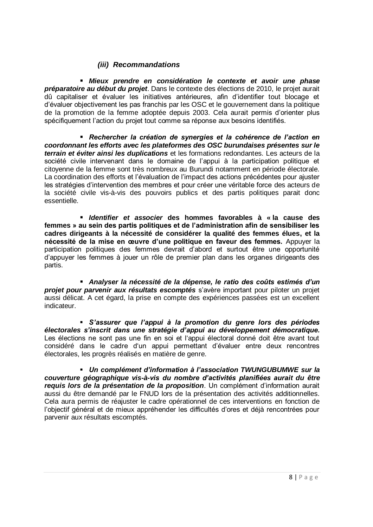### *(iii) Recommandations*

 *Mieux prendre en considération le contexte et avoir une phase préparatoire au début du projet*. Dans le contexte des élections de 2010, le projet aurait dû capitaliser et évaluer les initiatives antérieures, afin d'identifier tout blocage et d'évaluer objectivement les pas franchis par les OSC et le gouvernement dans la politique de la promotion de la femme adoptée depuis 2003. Cela aurait permis d'orienter plus spécifiquement l'action du projet tout comme sa réponse aux besoins identifiés.

 *Rechercher la création de synergies et la cohérence de l'action en coordonnant les efforts avec les plateformes des OSC burundaises présentes sur le terrain et éviter ainsi les duplications* et les formations redondantes. Les acteurs de la société civile intervenant dans le domaine de l'appui à la participation politique et citoyenne de la femme sont très nombreux au Burundi notamment en période électorale. La coordination des efforts et l'évaluation de l'impact des actions précédentes pour ajuster les stratégies d'intervention des membres et pour créer une véritable force des acteurs de la société civile vis-à-vis des pouvoirs publics et des partis politiques parait donc essentielle.

 *Identifier et associer* **des hommes favorables à « la cause des femmes » au sein des partis politiques et de l'administration afin de sensibiliser les cadres dirigeants à la nécessité de considérer la qualité des femmes élues, et la nécessité de la mise en œuvre d'une politique en faveur des femmes.** Appuyer la participation politiques des femmes devrait d'abord et surtout être une opportunité d'appuyer les femmes à jouer un rôle de premier plan dans les organes dirigeants des partis.

 *Analyser la nécessité de la dépense, le ratio des coûts estimés d'un projet pour parvenir aux résultats escomptés* s'avère important pour piloter un projet aussi délicat. A cet égard, la prise en compte des expériences passées est un excellent indicateur.

 *S'assurer que l'appui à la promotion du genre lors des périodes électorales s'inscrit dans une stratégie d'appui au développement démocratique.* Les élections ne sont pas une fin en soi et l'appui électoral donné doit être avant tout considéré dans le cadre d'un appui permettant d'évaluer entre deux rencontres électorales, les progrès réalisés en matière de genre.

 *Un complément d'information à l'association TWUNGUBUMWE sur la couverture géographique vis-à-vis du nombre d'activités planifiées aurait du être requis lors de la présentation de la proposition*. Un complément d'information aurait aussi du être demandé par le FNUD lors de la présentation des activités additionnelles. Cela aura permis de réajuster le cadre opérationnel de ces interventions en fonction de l'objectif général et de mieux appréhender les difficultés d'ores et déjà rencontrées pour parvenir aux résultats escomptés.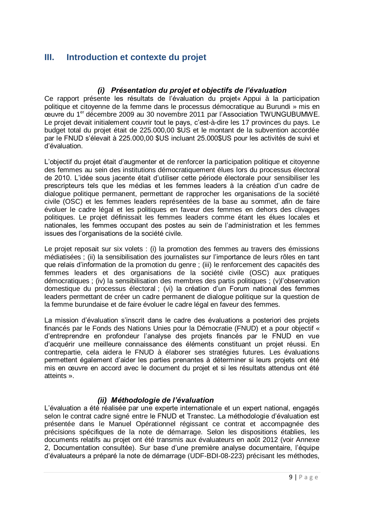## <span id="page-11-0"></span>**III. Introduction et contexte du projet**

### *(i) Présentation du projet et objectifs de l'évaluation*

<span id="page-11-1"></span>Ce rapport présente les résultats de l'évaluation du projet« Appui à la participation politique et citoyenne de la femme dans le processus démocratique au Burundi » mis en œuvre du 1er décembre 2009 au 30 novembre 2011 par l'Association TWUNGUBUMWE. Le projet devait initialement couvrir tout le pays, c'est-à-dire les 17 provinces du pays. Le budget total du projet était de 225.000,00 \$US et le montant de la subvention accordée par le FNUD s'élevait à 225.000,00 \$US incluant 25.000\$US pour les activités de suivi et d'évaluation.

L'objectif du projet était d'augmenter et de renforcer la participation politique et citoyenne des femmes au sein des institutions démocratiquement élues lors du processus électoral de 2010. L'idée sous jacente était d'utiliser cette période électorale pour sensibiliser les prescripteurs tels que les médias et les femmes leaders à la création d'un cadre de dialogue politique permanent, permettant de rapprocher les organisations de la société civile (OSC) et les femmes leaders représentées de la base au sommet, afin de faire évoluer le cadre légal et les politiques en faveur des femmes en dehors des clivages politiques. Le projet définissait les femmes leaders comme étant les élues locales et nationales, les femmes occupant des postes au sein de l'administration et les femmes issues des l'organisations de la société civile.

Le projet reposait sur six volets : (i) la promotion des femmes au travers des émissions médiatisées ; (ii) la sensibilisation des journalistes sur l'importance de leurs rôles en tant que relais d'information de la promotion du genre ; (iii) le renforcement des capacités des femmes leaders et des organisations de la société civile (OSC) aux pratiques démocratiques ; (iv) la sensibilisation des membres des partis politiques ; (v)l'observation domestique du processus électoral ; (vi) la création d'un Forum national des femmes leaders permettant de créer un cadre permanent de dialogue politique sur la question de la femme burundaise et de faire évoluer le cadre légal en faveur des femmes.

La mission d'évaluation s'inscrit dans le cadre des évaluations a posteriori des projets financés par le Fonds des Nations Unies pour la Démocratie (FNUD) et a pour objectif « d'entreprendre en profondeur l'analyse des projets financés par le FNUD en vue d'acquérir une meilleure connaissance des éléments constituant un projet réussi. En contrepartie, cela aidera le FNUD à élaborer ses stratégies futures. Les évaluations permettent également d'aider les parties prenantes à déterminer si leurs projets ont été mis en œuvre en accord avec le document du projet et si les résultats attendus ont été atteints ».

### *(ii) Méthodologie de l'évaluation*

<span id="page-11-2"></span>L'évaluation a été réalisée par une experte internationale et un expert national, engagés selon le contrat cadre signé entre le FNUD et Transtec. La méthodologie d'évaluation est présentée dans le Manuel Opérationnel régissant ce contrat et accompagnée des précisions spécifiques de la note de démarrage. Selon les dispositions établies, les documents relatifs au projet ont été transmis aux évaluateurs en août 2012 (voir Annexe 2, Documentation consultée). Sur base d'une première analyse documentaire, l'équipe d'évaluateurs a préparé la note de démarrage (UDF-BDI-08-223) précisant les méthodes,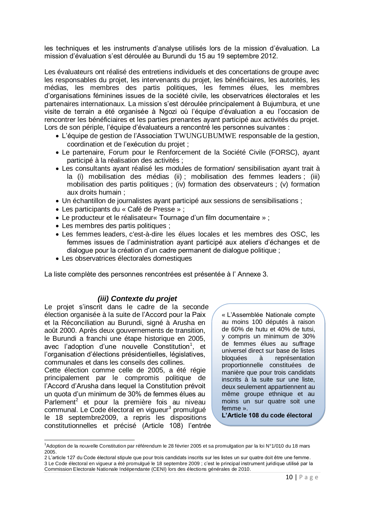les techniques et les instruments d'analyse utilisés lors de la mission d'évaluation. La mission d'évaluation s'est déroulée au Burundi du 15 au 19 septembre 2012.

Les évaluateurs ont réalisé des entretiens individuels et des concertations de groupe avec les responsables du projet, les intervenants du projet, les bénéficiaires, les autorités, les médias, les membres des partis politiques, les femmes élues, les membres d'organisations féminines issues de la société civile, les observatrices électorales et les partenaires internationaux. La mission s'est déroulée principalement à Bujumbura, et une visite de terrain a été organisée à Ngozi où l'équipe d'évaluation a eu l'occasion de rencontrer les bénéficiaires et les parties prenantes ayant participé aux activités du projet. Lors de son périple, l'équipe d'évaluateurs a rencontré les personnes suivantes :

- L'équipe de gestion de l'Association TWUNGUBUMWE responsable de la gestion, coordination et de l'exécution du projet ;
- Le partenaire, Forum pour le Renforcement de la Société Civile (FORSC), ayant participé à la réalisation des activités ;
- Les consultants ayant réalisé les modules de formation/ sensibilisation ayant trait à la (i) mobilisation des médias (ii) ; mobilisation des femmes leaders ; (iii) mobilisation des partis politiques ; (iv) formation des observateurs ; (v) formation aux droits humain ;
- Un échantillon de journalistes ayant participé aux sessions de sensibilisations ;
- Les participants du « Café de Presse » ;
- Le producteur et le réalisateur« Tournage d'un film documentaire » ;
- Les membres des partis politiques ;
- Les femmes leaders, c'est-à-dire les élues locales et les membres des OSC, les femmes issues de l'administration ayant participé aux ateliers d'échanges et de dialogue pour la création d'un cadre permanent de dialogue politique ;
- Les observatrices électorales domestiques

La liste complète des personnes rencontrées est présentée à l' Annexe 3.

#### *(iii) Contexte du projet*

<span id="page-12-0"></span>Le projet s'inscrit dans le cadre de la seconde élection organisée à la suite de l'Accord pour la Paix et la Réconciliation au Burundi, signé à Arusha en août 2000. Après deux gouvernements de transition, le Burundi a franchi une étape historique en 2005, avec l'adoption d'une nouvelle Constitution<sup>1</sup>, et l'organisation d'élections présidentielles, législatives, communales et dans les conseils des collines.

Cette élection comme celle de 2005, a été régie principalement par le compromis politique de l'Accord d'Arusha dans lequel la Constitution prévoit un quota d'un minimum de 30% de femmes élues au Parlement<sup>2</sup> et pour la première fois au niveau communal. Le Code électoral en vigueur<sup>3</sup> promulgué le 18 septembre2009, a repris les dispositions constitutionnelles et précisé (Article 108) l'entrée

 $\overline{\phantom{a}}$ 

« L'Assemblée Nationale compte au moins 100 députés à raison de 60% de hutu et 40% de tutsi, y compris un minimum de 30% de femmes élues au suffrage universel direct sur base de listes bloquées à représentation proportionnelle constituées de manière que pour trois candidats inscrits à la suite sur une liste, deux seulement appartiennent au même groupe ethnique et au moins un sur quatre soit une femme ».

**L'Article 108 du code électoral**

<sup>1</sup>Adoption de la nouvelle Constitution par référendum le 28 février 2005 et sa promulgation par la loi N°1/010 du 18 mars 2005.

<sup>2</sup> L'article 127 du Code électoral stipule que pour trois candidats inscrits sur les listes un sur quatre doit être une femme. 3 Le Code électoral en vigueur a été promulgué le 18 septembre 2009 ; c'est le principal instrument juridique utilisé par la Commission Electorale Nationale Indépendante (CENI) lors des élections générales de 2010.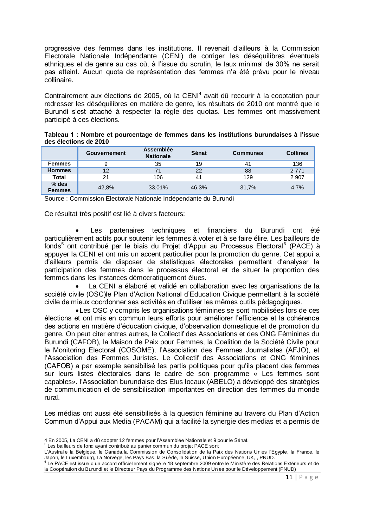progressive des femmes dans les institutions. Il revenait d'ailleurs à la Commission Electorale Nationale Indépendante (CENI) de corriger les déséquilibres éventuels ethniques et de genre au cas où, à l'issue du scrutin, le taux minimal de 30% ne serait pas atteint. Aucun quota de représentation des femmes n'a été prévu pour le niveau collinaire.

Contrairement aux élections de 2005, où la CENI<sup>4</sup> avait dû recourir à la cooptation pour redresser les déséquilibres en matière de genre, les résultats de 2010 ont montré que le Burundi s'est attaché à respecter la règle des quotas. Les femmes ont massivement participé à ces élections.

| Tableau 1 : Nombre et pourcentage de femmes dans les institutions burundaises à l'issue |  |  |  |  |
|-----------------------------------------------------------------------------------------|--|--|--|--|
| des élections de 2010                                                                   |  |  |  |  |

|                          | <b>Gouvernement</b> | <b>Assemblée</b><br><b>Nationale</b> | Sénat | <b>Communes</b> | <b>Collines</b> |
|--------------------------|---------------------|--------------------------------------|-------|-----------------|-----------------|
| <b>Femmes</b>            |                     | 35                                   | 19    | 41              | 136             |
| <b>Hommes</b>            | 12                  | 71                                   | 22    | 88              | 2 7 7 1         |
| <b>Total</b>             | 21                  | 106                                  | 41    | 129             | 2 9 0 7         |
| $%$ des<br><b>Femmes</b> | 42.8%               | 33,01%                               | 46.3% | 31,7%           | 4.7%            |

Source : Commission Electorale Nationale Indépendante du Burundi

Ce résultat très positif est lié à divers facteurs:

 Les partenaires techniques et financiers du Burundi ont été particulièrement actifs pour soutenir les femmes à voter et à se faire élire. Les bailleurs de fonds<sup>5</sup> ont contribué par le biais du Projet d'Appui au Processus Electoral<sup>6</sup> (PACE) à appuyer la CENI et ont mis un accent particulier pour la promotion du genre. Cet appui a d'ailleurs permis de disposer de statistiques électorales permettant d'analyser la participation des femmes dans le processus électoral et de situer la proportion des femmes dans les instances démocratiquement élues.

 La CENI a élaboré et validé en collaboration avec les organisations de la société civile (OSC)le Plan d'Action National d'Education Civique permettant à la société civile de mieux coordonner ses activités en d'utiliser les mêmes outils pédagogiques.

Les OSC y compris les organisations féminines se sont mobilisées lors de ces élections et ont mis en commun leurs efforts pour améliorer l'efficience et la cohérence des actions en matière d'éducation civique, d'observation domestique et de promotion du genre. On peut citer entres autres, le Collectif des Associations et des ONG Féminines du Burundi (CAFOB), la Maison de Paix pour Femmes, la Coalition de la Société Civile pour le Monitoring Electoral (COSOME), l'Association des Femmes Journalistes (AFJO), et l'Association des Femmes Juristes. Le Collectif des Associations et ONG féminines (CAFOB) a par exemple sensibilisé les partis politiques pour qu'ils placent des femmes sur leurs listes électorales dans le cadre de son programme « Les femmes sont capables». l'Association burundaise des Elus locaux (ABELO) a développé des stratégies de communication et de sensibilisation importantes en direction des femmes du monde rural.

Les médias ont aussi été sensibilisés à la question féminine au travers du Plan d'Action Commun d'Appui aux Media (PACAM) qui a facilité la synergie des medias et a permis de

 $\overline{a}$ 4 En 2005, La CENI a dû coopter 12 femmes pour l'Assemblée Nationale et 9 pour le Sénat.<br><sup>5</sup> Les bailleurs de fond ayant contribué au panier commun du projet PACE sont

L'Australie la Belgique, le Canada,la Commission de Consolidation de la Paix des Nations Unies l'Egypte, la France, le Japon, le Luxembourg, La Norvège, les Pays Bas, la Suède, la Suisse, Union Européenne, UK, , PNUD.<br><sup>6</sup> Le PACE est issue d'un accord officiellement signé le 18 septembre 2009 entre le Ministère des Relations Extérieurs et

la Coopération du Burundi et le Directeur Pays du Programme des Nations Unies pour le Développement (PNUD)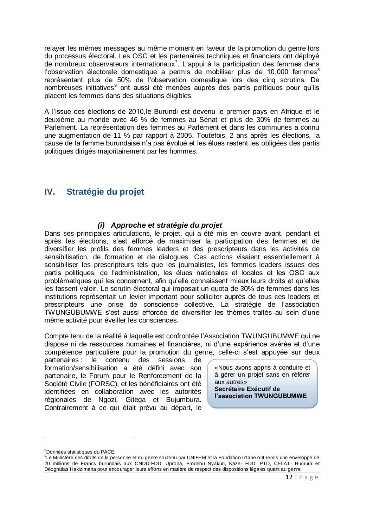relayer les mêmes messages au même moment en faveur de la promotion du genre lors du processus électoral. Les OSC et les partenaires techniques et financiers ont déployé de nombreux observateurs internationaux<sup>7</sup>. L'appui à la participation des femmes dans l'observation électorale domestique a permis de mobiliser plus de  $10,000$  femmes<sup>8</sup> représentant plus de 50% de l'observation domestique lors des cinq scrutins. De nombreuses initiatives<sup>9</sup> ont aussi été menées auprès des partis politiques pour qu'ils placent les femmes dans des situations éligibles.

A l'issue des élections de 2010,le Burundi est devenu le premier pays en Afrique et le deuxième au monde avec 46 % de femmes au Sénat et plus de 30% de femmes au Parlement. La représentation des femmes au Parlement et dans les communes a connu une augmentation de 11 % par rapport à 2005. Toutefois, 2 ans après les élections, la cause de la femme burundaise n'a pas évolué et les élues restent les obligées des partis politiques dirigés majoritairement par les hommes.

## <span id="page-14-0"></span>**IV. Stratégie du projet**

#### *(i) Approche et stratégie du projet*

<span id="page-14-1"></span>Dans ses principales articulations, le projet, qui a été mis en œuvre avant, pendant et après les élections, s'est efforcé de maximiser la participation des femmes et de diversifier les profils des femmes leaders et des prescripteurs dans les activités de sensibilisation, de formation et de dialogues. Ces actions visaient essentiellement à sensibiliser les prescripteurs tels que les journalistes, les femmes leaders issues des partis politiques, de l'administration, les élues nationales et locales et les OSC aux problématiques qui les concernent, afin qu'elle connaissent mieux leurs droits et qu'elles les fassent valoir. Le scrutin électoral qui imposait un quota de 30% de femmes dans les institutions représentait un levier important pour solliciter auprès de tous ces leaders et prescripteurs une prise de conscience collective. La stratégie de l'association TWUNGUBUMWE s'est aussi efforcée de diversifier les thèmes traités au sein d'une même activité pour éveiller les consciences.

Compte tenu de la réalité à laquelle est confrontée l'Association TWUNGUBUMWE qui ne dispose ni de ressources humaines et financières, ni d'une expérience avérée et d'une compétence particulière pour la promotion du genre, celle-ci s'est appuyée sur deux

partenaires : le contenu des sessions de formation/sensibilisation a été défini avec son partenaire, le Forum pour le Renforcement de la Société Civile (FORSC), et les bénéficiaires ont été identifiées en collaboration avec les autorités régionales de Ngozi, Gitega et Bujumbura. Contrairement à ce qui était prévu au départ, le

«Nous avons appris à conduire et à gérer un projet sans en référer aux autres» **Secrétaire Exécutif de l'association TWUNGUBUMWE**

 $\overline{a}$ 

<sup>8</sup>Données statistiques du PACE

<sup>&</sup>lt;sup>9</sup>Le Ministère des droits de la personne et du genre soutenu par UNIFEM et la Fondation Intahe ont remis une enveloppe de 20 millions de Francs burundais aux CNDD-FDD, Uprona, Frodebu Nyakuri, Kaze- FDD, PTD, CELAT- Humura et Déogratias Hakizimana pour encourager leurs efforts en matière de respect des dispositions légales quant au genre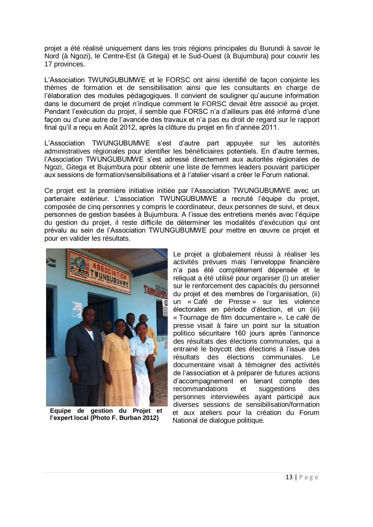projet a été réalisé uniquement dans les trois régions principales du Burundi à savoir le Nord (à Ngozi), le Centre-Est (à Gitega) et le Sud-Ouest (à Bujumbura) pour couvrir les 17 provinces.

L'Association TWUNGUBUMWE et le FORSC ont ainsi identifié de façon conjointe les thèmes de formation et de sensibilisation ainsi que les consultants en charge de l'élaboration des modules pédagogiques. Il convient de souligner qu'aucune information dans le document de projet n'indique comment le FORSC devait être associé au projet. Pendant l'exécution du projet, il semble que FORSC n'a d'ailleurs pas été informé d'une façon ou d'une autre de l'avancée des travaux et n'a pas eu droit de regard sur le rapport final qu'il a reçu en Août 2012, après la clôture du projet en fin d'année 2011.

L'Association TWUNGUBUMWE s'est d'autre part appuyée sur les autorités administratives régionales pour identifier les bénéficiaires potentiels. En d'autre termes, l'Association TWUNGUBUMWE s'est adressé directement aux autorités régionales de Ngozi, Gitega et Bujumbura pour obtenir une liste de femmes leaders pouvant participer aux sessions de formation/sensibilisations et à l'atelier visant a créer le Forum national.

Ce projet est la première initiative initiée par l'Association TWUNGUBUMWE avec un partenaire extérieur. L'association TWUNGUBUMWE a recruté l'équipe du projet, composée de cinq personnes y compris le coordinateur, deux personnes de suivi, et deux personnes de gestion basées à Bujumbura. A l'issue des entretiens menés avec l'équipe du gestion du projet, il reste difficile de déterminer les modalités d'exécution qui ont prévalu au sein de l'Association TWUNGUBUMWE pour mettre en œuvre ce projet et pour en valider les résultats.



**Equipe de gestion du Projet et l'expert local (Photo F. Burban 2012)**

Le projet a globalement réussi à réaliser les activités prévues mais l'enveloppe financière n'a pas été complètement dépensée et le reliquat a été utilisé pour organiser (i) un atelier sur le renforcement des capacités du personnel du projet et des membres de l'organisation, (ii) un « Café de Presse » sur les violence électorales en période d'élection, et un (iii) « Tournage de film documentaire ». Le café de presse visait à faire un point sur la situation politico sécuritaire 160 jours après l'annonce des résultats des élections communales, qui a entrainé le boycott des élections à l'issue des résultats des élections communales. Le documentaire visait à témoigner des activités de l'association et à préparer de futures actions d'accompagnement en tenant compte des recommandations et suggestions des personnes interviewées ayant participé aux diverses sessions de sensibilisation/formation et aux ateliers pour la création du Forum National de dialogue politique.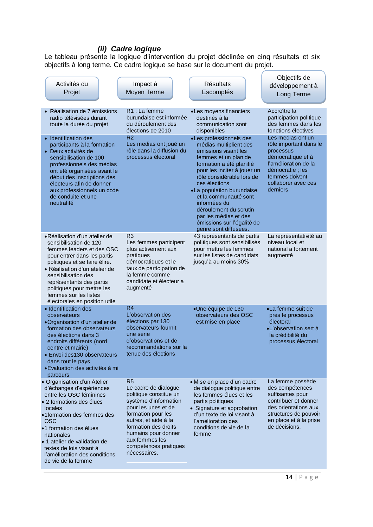### *(ii) Cadre logique*

<span id="page-16-0"></span>Le tableau présente la logique d'intervention du projet déclinée en cinq résultats et six objectifs à long terme. Ce cadre logique se base sur le document du projet.

| Activités du<br>Projet                                                                                                                                                                                                                                                                                                           | Impact à<br><b>Moyen Terme</b>                                                                                                                                                                                                                                           | <b>Résultats</b><br>Escomptés                                                                                                                                                                                                                                                                                                                                                              | Objectifs de<br>développement à<br>Long Terme                                                                                                                                  |
|----------------------------------------------------------------------------------------------------------------------------------------------------------------------------------------------------------------------------------------------------------------------------------------------------------------------------------|--------------------------------------------------------------------------------------------------------------------------------------------------------------------------------------------------------------------------------------------------------------------------|--------------------------------------------------------------------------------------------------------------------------------------------------------------------------------------------------------------------------------------------------------------------------------------------------------------------------------------------------------------------------------------------|--------------------------------------------------------------------------------------------------------------------------------------------------------------------------------|
| • Réalisation de 7 émissions<br>radio télévisées durant<br>toute la durée du projet                                                                                                                                                                                                                                              | R1 : La femme<br>burundaise est informée<br>du déroulement des<br>élections de 2010                                                                                                                                                                                      | •Les moyens financiers<br>destinés à la<br>communication sont<br>disponibles                                                                                                                                                                                                                                                                                                               | Accroître la<br>participation politique<br>des femmes dans les<br>fonctions électives                                                                                          |
| • Identification des<br>participants à la formation<br>• Deux activités de<br>sensibilisation de 100<br>professionnels des médias<br>ont été organisées avant le<br>début des inscriptions des<br>électeurs afin de donner<br>aux professionnels un code<br>de conduite et une<br>neutralité                                     | R <sub>2</sub><br>Les medias ont joué un<br>rôle dans la diffusion du<br>processus électoral                                                                                                                                                                             | •Les professionnels des<br>médias multiplient des<br>émissions visant les<br>femmes et un plan de<br>formation a été planifié<br>pour les inciter à jouer un<br>rôle considérable lors de<br>ces élections<br>•La population burundaise<br>et la communauté sont<br>informées du<br>déroulement du scrutin<br>par les médias et des<br>émissions sur l'égalité de<br>genre sont diffusées. | Les medias ont un<br>rôle important dans le<br>processus<br>démocratique et à<br>l'amélioration de la<br>démocratie ; les<br>femmes doivent<br>collaborer avec ces<br>derniers |
| ●Réalisation d'un atelier de<br>sensibilisation de 120<br>femmes leaders et des OSC<br>pour entrer dans les partis<br>politiques et se faire élire.<br>· Réalisation d'un atelier de<br>sensibilisation des<br>représentants des partis<br>politiques pour mettre les<br>femmes sur les listes<br>électorales en position utile  | R <sub>3</sub><br>Les femmes participent<br>plus activement aux<br>pratiques<br>démocratiques et le<br>taux de participation de<br>la femme comme<br>candidate et électeur a<br>augmenté                                                                                 | 43 représentants de partis<br>politiques sont sensibilisés<br>pour mettre les femmes<br>sur les listes de candidats<br>jusqu'à au moins 30%                                                                                                                                                                                                                                                | La représentativité au<br>niveau local et<br>national a fortement<br>augmenté                                                                                                  |
| • Identification des<br>observateurs<br>•Organisation d'un atelier de<br>formation des observateurs<br>des élections dans 3<br>endroits différents (nord<br>centre et mairie)<br>· Envoi des130 observateurs<br>dans tout le pays<br>• Evaluation des activités à mi<br>parcours                                                 | R <sub>4</sub><br>L'observation des<br>élections par 130<br>observateurs fournit<br>une série<br>d'observations et de<br>recommandations sur la<br>tenue des élections                                                                                                   | •Une équipe de 130<br>observateurs des OSC<br>est mise en place                                                                                                                                                                                                                                                                                                                            | ·La femme suit de<br>près le processus<br>électoral<br>•L'observation sert à<br>la crédibilité du<br>processus électoral                                                       |
| · Organisation d'un Atelier<br>d'échanges d'expériences<br>entre les OSC féminines<br>• 2 formations des élues<br>locales<br>•1 formation des femmes des<br><b>OSC</b><br>•1 formation des élues<br>nationales<br>• 1 atelier de validation de<br>textes de lois visant à<br>l'amélioration des conditions<br>de vie de la femme | R <sub>5</sub><br>Le cadre de dialogue<br>politique constitue un<br>système d'information<br>pour les unes et de<br>formation pour les<br>autres, et aide à la<br>formation des droits<br>humains pour donner<br>aux femmes les<br>compétences pratiques<br>nécessaires. | • Mise en place d'un cadre<br>de dialogue politique entre<br>les femmes élues et les<br>partis politiques<br>• Signature et approbation<br>d'un texte de loi visant à<br>l'amélioration des<br>conditions de vie de la<br>femme                                                                                                                                                            | La femme possède<br>des compétences<br>suffisantes pour<br>contribuer et donner<br>des orientations aux<br>structures de pouvoir<br>en place et à la prise<br>de décisions.    |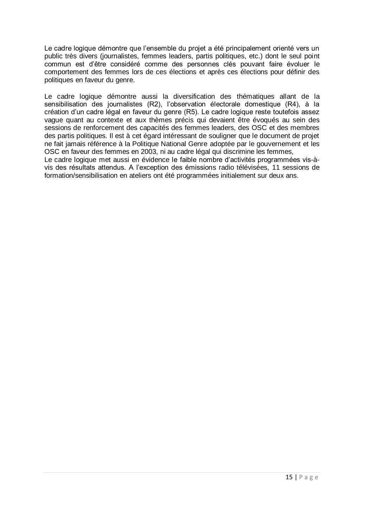Le cadre logique démontre que l'ensemble du projet a été principalement orienté vers un public très divers (journalistes, femmes leaders, partis politiques, etc.) dont le seul point commun est d'être considéré comme des personnes clés pouvant faire évoluer le comportement des femmes lors de ces élections et après ces élections pour définir des politiques en faveur du genre.

Le cadre logique démontre aussi la diversification des thématiques allant de la sensibilisation des journalistes (R2), l'observation électorale domestique (R4), à la création d'un cadre légal en faveur du genre (R5). Le cadre logique reste toutefois assez vague quant au contexte et aux thèmes précis qui devaient être évoqués au sein des sessions de renforcement des capacités des femmes leaders, des OSC et des membres des partis politiques. Il est à cet égard intéressant de souligner que le document de projet ne fait jamais référence à la Politique National Genre adoptée par le gouvernement et les OSC en faveur des femmes en 2003, ni au cadre légal qui discrimine les femmes,

Le cadre logique met aussi en évidence le faible nombre d'activités programmées vis-àvis des résultats attendus. A l'exception des émissions radio télévisées, 11 sessions de formation/sensibilisation en ateliers ont été programmées initialement sur deux ans.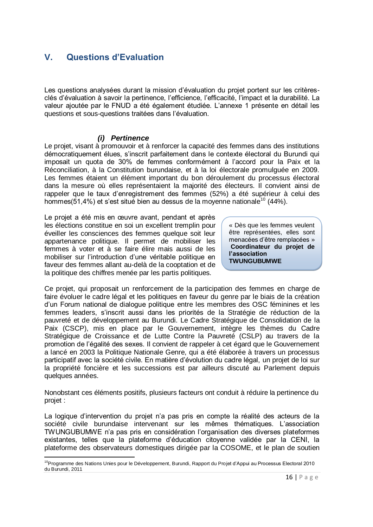## <span id="page-18-0"></span>**V. Questions d'Evaluation**

Les questions analysées durant la mission d'évaluation du projet portent sur les critèresclés d'évaluation à savoir la pertinence, l'efficience, l'efficacité, l'impact et la durabilité. La valeur ajoutée par le FNUD a été également étudiée. L'annexe 1 présente en détail les questions et sous-questions traitées dans l'évaluation.

#### *(i) Pertinence*

<span id="page-18-1"></span>Le projet, visant à promouvoir et à renforcer la capacité des femmes dans des institutions démocratiquement élues, s'inscrit parfaitement dans le contexte électoral du Burundi qui imposait un quota de 30% de femmes conformément à l'accord pour la Paix et la Réconciliation, à la Constitution burundaise, et à la loi électorale promulguée en 2009. Les femmes étaient un élément important du bon déroulement du processus électoral dans la mesure où elles représentaient la majorité des électeurs. Il convient ainsi de rappeler que le taux d'enregistrement des femmes (52%) a été supérieur à celui des hommes(51,4%) et s'est situé bien au dessus de la moyenne nationale<sup>10</sup> (44%).

Le projet a été mis en œuvre avant, pendant et après les élections constitue en soi un excellent tremplin pour éveiller les consciences des femmes quelque soit leur appartenance politique. Il permet de mobiliser les femmes à voter et à se faire élire mais aussi de les mobiliser sur l'introduction d'une véritable politique en faveur des femmes allant au-delà de la cooptation et de la politique des chiffres menée par les partis politiques.

« Dès que les femmes veulent être représentées, elles sont menacées d'être remplacées » **Coordinateur du projet de l'association TWUNGUBUMWE**

Ce projet, qui proposait un renforcement de la participation des femmes en charge de faire évoluer le cadre légal et les politiques en faveur du genre par le biais de la création d'un Forum national de dialogue politique entre les membres des OSC féminines et les femmes leaders, s'inscrit aussi dans les priorités de la Stratégie de réduction de la pauvreté et de développement au Burundi. Le Cadre Stratégique de Consolidation de la Paix (CSCP), mis en place par le Gouvernement, intègre les thèmes du Cadre Stratégique de Croissance et de Lutte Contre la Pauvreté (CSLP) au travers de la promotion de l'égalité des sexes. Il convient de rappeler à cet égard que le Gouvernement a lancé en 2003 la Politique Nationale Genre, qui a été élaborée à travers un processus participatif avec la société civile. En matière d'évolution du cadre légal, un projet de loi sur la propriété foncière et les successions est par ailleurs discuté au Parlement depuis quelques années.

Nonobstant ces éléments positifs, plusieurs facteurs ont conduit à réduire la pertinence du projet :

La logique d'intervention du projet n'a pas pris en compte la réalité des acteurs de la société civile burundaise intervenant sur les mêmes thématiques. L'association TWUNGUBUMWE n'a pas pris en considération l'organisation des diverses plateformes existantes, telles que la plateforme d'éducation citoyenne validée par la CENI, la plateforme des observateurs domestiques dirigée par la COSOME, et le plan de soutien

 $\overline{a}$ <sup>10</sup>Programme des Nations Unies pour le Développement, Burundi, Rapport du Projet d'Appui au Processus Electoral 2010 du Burundi, 2011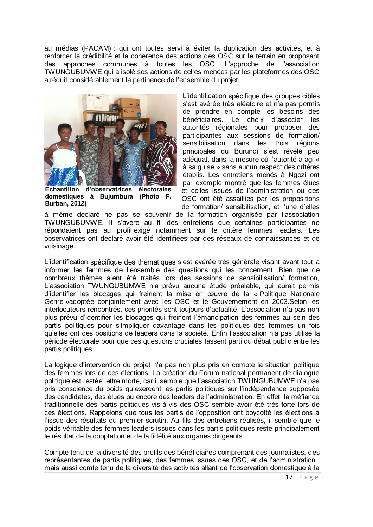au médias (PACAM) ; qui ont toutes servi à éviter la duplication des activités, et à renforcer la crédibilité et la cohérence des actions des OSC sur le terrain en proposant des approches communes à toutes les OSC. L'approche de l'association TWUNGUBUMWE qui a isolé ses actions de celles menées par les plateformes des OSC a réduit considérablement la pertinence de l'ensemble du projet.



**Echantillon d'observatrices électorales domestiques à Bujumbura (Photo F. Burban, 2012)**

L'identification spécifique des groupes cibles s'est avérée très aléatoire et n'a pas permis de prendre en compte les besoins des bénéficiaires. Le choix d'associer les autorités régionales pour proposer des participantes aux sessions de formation/ sensibilisation dans les trois régions principales du Burundi s'est révélé peu adéquat, dans la mesure où l'autorité a agi « à sa guise » sans aucun respect des critères établis. Les entretiens menés à Ngozi ont par exemple montré que les femmes élues et celles issues de l'administration ou des OSC ont été assaillies par les propositions de formation/ sensibilisation, et l'une d'elles

à même déclaré ne pas se souvenir de la formation organisée par l'association TWUNGUBUMWE. Il s'avère au fil des entretiens que certaines participantes ne répondaient pas au profil exigé notamment sur le critère femmes leaders. Les observatrices ont déclaré avoir été identifiées par des réseaux de connaissances et de voisinage.

L'identification spécifique des thématiques s'est avérée très générale visant avant tout a informer les femmes de l'ensemble des questions qui les concernent .Bien que de nombreux thèmes aient été traités lors des sessions de sensibilisation/ formation, L'association TWUNGUBUMWE n'a prévu aucune étude préalable, qui aurait permis d'identifier les blocages qui freinent la mise en œuvre de la « Politique Nationale Genre »adoptée conjointement avec les OSC et le Gouvernement en 2003.Selon les interlocuteurs rencontrés, ces priorités sont toujours d'actualité. L'association n'a pas non plus prévu d'identifier les blocages qui freinent l'émancipation des femmes au sein des partis politiques pour s'impliquer davantage dans les politiques des femmes un fois qu'elles ont des positions de leaders dans la société. Enfin l'association n'a pas utilisé la période électorale pour que ces questions cruciales fassent parti du débat public entre les partis politiques.

La logique d'intervention du projet n'a pas non plus pris en compte la situation politique des femmes lors de ces élections. La création du Forum national permanent de dialogue politique est restée lettre morte, car il semble que l'association TWUNGUBUMWE n'a pas pris conscience du poids qu'exercent les partis politiques sur l'indépendance supposée des candidates, des élues ou encore des leaders de l'administration. En effet, la méfiance traditionnelle des partis politiques vis-à-vis des OSC semble avoir été très forte lors de ces élections. Rappelons que tous les partis de l'opposition ont boycotté les élections à l'issue des résultats du premier scrutin. Au fils des entretiens réalisés, il semble que le poids véritable des femmes leaders issues dans les partis politiques reste principalement le résultat de la cooptation et de la fidélité aux organes dirigeants.

Compte tenu de la diversité des profils des bénéficiaires comprenant des journalistes, des représentantes de partis politiques, des femmes issues des OSC, et de l'administration ; mais aussi comte tenu de la diversité des activités allant de l'observation domestique à la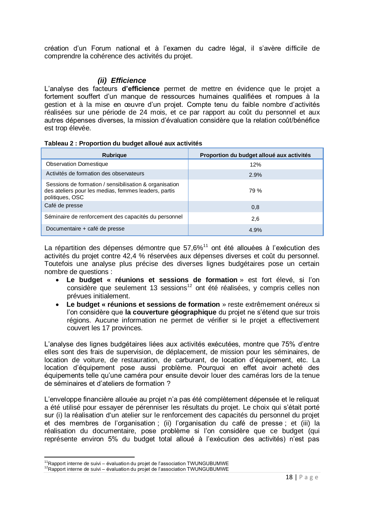création d'un Forum national et à l'examen du cadre légal, il s'avère difficile de comprendre la cohérence des activités du projet.

#### *(ii) Efficience*

<span id="page-20-0"></span>L'analyse des facteurs **d'efficience** permet de mettre en évidence que le projet a fortement souffert d'un manque de ressources humaines qualifiées et rompues à la gestion et à la mise en œuvre d'un projet. Compte tenu du faible nombre d'activités réalisées sur une période de 24 mois, et ce par rapport au coût du personnel et aux autres dépenses diverses, la mission d'évaluation considère que la relation coût/bénéfice est trop élevée.

#### **Tableau 2 : Proportion du budget alloué aux activités**

| Rubrique                                                                                                                          | Proportion du budget alloué aux activités |
|-----------------------------------------------------------------------------------------------------------------------------------|-------------------------------------------|
| <b>Observation Domestique</b>                                                                                                     | 12%                                       |
| Activités de formation des observateurs                                                                                           | 2.9%                                      |
| Sessions de formation / sensibilisation & organisation<br>des ateliers pour les medias, femmes leaders, partis<br>politiques, OSC | 79 %                                      |
| Café de presse                                                                                                                    | 0,8                                       |
| Séminaire de renforcement des capacités du personnel                                                                              | 2,6                                       |
| Documentaire + café de presse                                                                                                     | 4.9%                                      |

La répartition des dépenses démontre que  $57,6\%$ <sup>11</sup> ont été allouées à l'exécution des activités du projet contre 42,4 % réservées aux dépenses diverses et coût du personnel. Toutefois une analyse plus précise des diverses lignes budgétaires pose un certain nombre de questions :

- **Le budget « réunions et sessions de formation** » est fort élevé, si l'on considère que seulement 13 sessions<sup>12</sup> ont été réalisées, y compris celles non prévues initialement.
- **Le budget « réunions et sessions de formation** » reste extrêmement onéreux si l'on considère que **la couverture géographique** du projet ne s'étend que sur trois régions. Aucune information ne permet de vérifier si le projet a effectivement couvert les 17 provinces.

L'analyse des lignes budgétaires liées aux activités exécutées, montre que 75% d'entre elles sont des frais de supervision, de déplacement, de mission pour les séminaires, de location de voiture, de restauration, de carburant, de location d'équipement, etc. La location d'équipement pose aussi problème. Pourquoi en effet avoir acheté des équipements telle qu'une caméra pour ensuite devoir louer des caméras lors de la tenue de séminaires et d'ateliers de formation ?

L'enveloppe financière allouée au projet n'a pas été complètement dépensée et le reliquat a été utilisé pour essayer de pérenniser les résultats du projet. Le choix qui s'était porté sur (i) la réalisation d'un atelier sur le renforcement des capacités du personnel du projet et des membres de l'organisation ; (ii) l'organisation du café de presse ; et (iii) la réalisation du documentaire, pose problème si l'on considère que ce budget (qui représente environ 5% du budget total alloué à l'exécution des activités) n'est pas

 $\overline{a}$ 

 $11$ Rapport interne de suivi – évaluation du projet de l'association TWUNGUBUMWE

<sup>&</sup>lt;sup>12</sup>Rapport interne de suivi – évaluation du projet de l'association TWUNGUBUMWE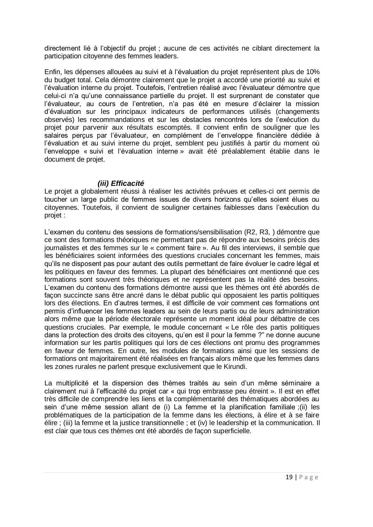directement lié à l'objectif du projet ; aucune de ces activités ne ciblant directement la participation citoyenne des femmes leaders.

Enfin, les dépenses allouées au suivi et à l'évaluation du projet représentent plus de 10% du budget total. Cela démontre clairement que le projet a accordé une priorité au suivi et l'évaluation interne du projet. Toutefois, l'entretien réalisé avec l'évaluateur démontre que celui-ci n'a qu'une connaissance partielle du projet. Il est surprenant de constater que l'évaluateur, au cours de l'entretien, n'a pas été en mesure d'éclairer la mission d'évaluation sur les principaux indicateurs de performances utilisés (changements observés) les recommandations et sur les obstacles rencontrés lors de l'exécution du projet pour parvenir aux résultats escomptés. Il convient enfin de souligner que les salaires perçus par l'évaluateur, en complément de l'enveloppe financière dédiée à l'évaluation et au suivi interne du projet, semblent peu justifiés à partir du moment où l'enveloppe « suivi et l'évaluation interne » avait été préalablement établie dans le document de projet.

#### *(iii) Efficacité*

<span id="page-21-0"></span>Le projet a globalement réussi à réaliser les activités prévues et celles-ci ont permis de toucher un large public de femmes issues de divers horizons qu'elles soient élues ou citoyennes. Toutefois, il convient de souligner certaines faiblesses dans l'exécution du projet :

L'examen du contenu des sessions de formations/sensibilisation (R2, R3, ) démontre que ce sont des formations théoriques ne permettant pas de répondre aux besoins précis des journalistes et des femmes sur le « comment faire ». Au fil des interviews, il semble que les bénéficiaires soient informées des questions cruciales concernant les femmes, mais qu'ils ne disposent pas pour autant des outils permettant de faire évoluer le cadre légal et les politiques en faveur des femmes. La plupart des bénéficiaires ont mentionné que ces formations sont souvent très théoriques et ne représentent pas la réalité des besoins. L'examen du contenu des formations démontre aussi que les thèmes ont été abordés de façon succincte sans être ancré dans le débat public qui opposaient les partis politiques lors des élections. En d'autres termes, il est difficile de voir comment ces formations ont permis d'influencer les femmes leaders au sein de leurs partis ou de leurs administration alors même que la période électorale représente un moment idéal pour débattre de ces questions cruciales. Par exemple, le module concernant « Le rôle des partis politiques dans la protection des droits des citoyens, qu'en est il pour la femme ?" ne donne aucune information sur les partis politiques qui lors de ces élections ont promu des programmes en faveur de femmes. En outre, les modules de formations ainsi que les sessions de formations ont majoritairement été réalisées en français alors même que les femmes dans les zones rurales ne parlent presque exclusivement que le Kirundi.

La multiplicité et la dispersion des thèmes traités au sein d'un même séminaire a clairement nui à l'efficacité du projet car « qui trop embrasse peu étreint ». Il est en effet très difficile de comprendre les liens et la complémentarité des thématiques abordées au sein d'une même session allant de (i) La femme et la planification familiale ;(ii) les problématiques de la participation de la femme dans les élections, à élire et à se faire élire ; (iii) la femme et la justice transitionnelle ; et (iv) le leadership et la communication. Il est clair que tous ces thèmes ont été abordés de façon superficielle.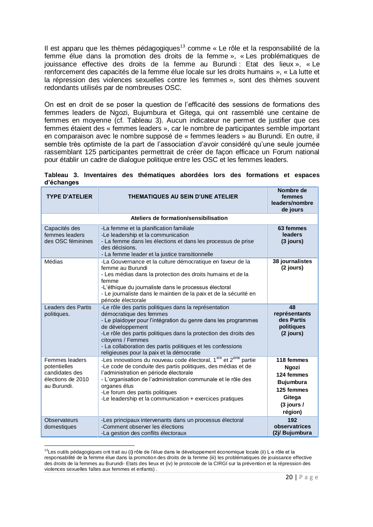Il est apparu que les thèmes pédagogiques<sup>13</sup> comme « Le rôle et la responsabilité de la femme élue dans la promotion des droits de la femme », « Les problématiques de jouissance effective des droits de la femme au Burundi : Etat des lieux », « Le renforcement des capacités de la femme élue locale sur les droits humains », « La lutte et la répression des violences sexuelles contre les femmes », sont des thèmes souvent redondants utilisés par de nombreuses OSC.

On est en droit de se poser la question de l'efficacité des sessions de formations des femmes leaders de Ngozi, Bujumbura et Gitega, qui ont rassemblé une centaine de femmes en moyenne (cf. Tableau 3). Aucun indicateur ne permet de justifier que ces femmes étaient des « femmes leaders », car le nombre de participantes semble important en comparaison avec le nombre supposé de « femmes leaders » au Burundi. En outre, il semble très optimiste de la part de l'association d'avoir considéré qu'une seule journée rassemblant 125 participantes permettrait de créer de façon efficace un Forum national pour établir un cadre de dialogue politique entre les OSC et les femmes leaders.

|            |  | Tableau 3. Inventaires des thématiques abordées lors des formations et espaces |  |  |  |
|------------|--|--------------------------------------------------------------------------------|--|--|--|
| d'échanges |  |                                                                                |  |  |  |

| <b>TYPE D'ATELIER</b>                                                                | <b>THEMATIQUES AU SEIN D'UNE ATELIER</b>                                                                                                                                                                                                                                                                                                                                          | Nombre de<br>femmes<br>leaders/nombre<br>de jours                                                        |
|--------------------------------------------------------------------------------------|-----------------------------------------------------------------------------------------------------------------------------------------------------------------------------------------------------------------------------------------------------------------------------------------------------------------------------------------------------------------------------------|----------------------------------------------------------------------------------------------------------|
|                                                                                      | Ateliers de formation/sensibilisation                                                                                                                                                                                                                                                                                                                                             |                                                                                                          |
| Capacités des<br>femmes leaders<br>des OSC féminines                                 | -La femme et la planification familiale<br>-Le leadership et la communication<br>- La femme dans les élections et dans les processus de prise<br>des décisions.<br>- La femme leader et la justice transitionnelle                                                                                                                                                                | 63 femmes<br>leaders<br>$(3$ jours)                                                                      |
| Médias                                                                               | -La Gouvernance et la culture démocratique en faveur de la<br>femme au Burundi<br>- Les médias dans la protection des droits humains et de la<br>femme<br>-L'éthique du journaliste dans le processus électoral<br>- Le journaliste dans le maintien de la paix et de la sécurité en<br>période électorale                                                                        | 38 journalistes<br>$(2$ jours)                                                                           |
| Leaders des Partis<br>politiques.                                                    | -Le rôle des partis politiques dans la représentation<br>démocratique des femmes<br>- Le plaidoyer pour l'intégration du genre dans les programmes<br>de développement<br>-Le rôle des partis politiques dans la protection des droits des<br>citovens / Femmes<br>- La collaboration des partis politiques et les confessions<br>religieuses pour la paix et la démocratie       | 48<br>représentants<br>des Partis<br>politiques<br>(2 jours)                                             |
| Femmes leaders<br>potentielles<br>candidates des<br>élections de 2010<br>au Burundi. | -Les innovations du nouveau code électoral, 1 <sup>ere</sup> et 2 <sup>eme</sup> partie<br>-Le code de conduite des partis politiques, des médias et de<br>l'administration en période électorale<br>- L'organisation de l'administration communale et le rôle des<br>organes élus<br>-Le forum des partis politiques<br>-Le leadership et la communication + exercices pratiques | 118 femmes<br>Ngozi<br>124 femmes<br><b>Bujumbura</b><br>125 femmes<br>Gitega<br>$(3$ jours /<br>région) |
| <b>Observateurs</b><br>domestiques                                                   | -Les principaux intervenants dans un processus électoral<br>-Comment observer les élections<br>-La gestion des conflits électoraux                                                                                                                                                                                                                                                | 192<br>observatrices<br>(2i/ Bujumbura                                                                   |

 $\overline{a}$ <sup>13</sup>Les outils pédagogiques ont trait au (i**)** rôle de l'élue dans le développement économique locale (ii) L e rôle et la responsabilité de la femme élue dans la promotion des droits de la femme (iii) les problématiques de jouissance effective des droits de la femmes au Burundi- Etats des lieux et (iv) le protocole de la CIRGl sur la prévention et la répression des violences sexuelles faîtes aux femmes et enfants) .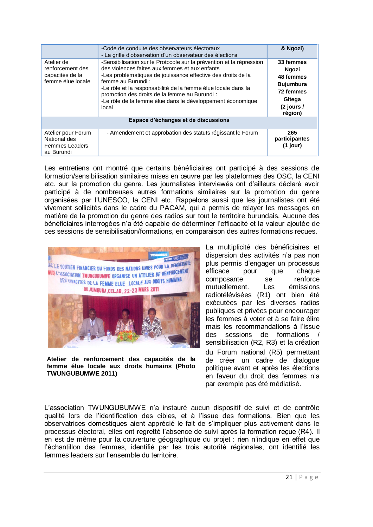|                                                                           | -Code de conduite des observateurs électoraux<br>- La grille d'observation d'un observateur des élections                                                                                                                                                                                                                                                                                            | & Ngozi)                                                                                                     |  |  |  |
|---------------------------------------------------------------------------|------------------------------------------------------------------------------------------------------------------------------------------------------------------------------------------------------------------------------------------------------------------------------------------------------------------------------------------------------------------------------------------------------|--------------------------------------------------------------------------------------------------------------|--|--|--|
| Atelier de<br>renforcement des<br>capacités de la<br>femme élue locale    | -Sensibilisation sur le Protocole sur la prévention et la répression<br>des violences faites aux femmes et aux enfants<br>-Les problématiques de jouissance effective des droits de la<br>femme au Burundi:<br>-Le rôle et la responsabilité de la femme élue locale dans la<br>promotion des droits de la femme au Burundi :<br>-Le rôle de la femme élue dans le développement économique<br>local | 33 femmes<br><b>Ngozi</b><br>48 femmes<br><b>Bujumbura</b><br>72 femmes<br>Gitega<br>$(2$ jours /<br>région) |  |  |  |
| Espace d'échanges et de discussions                                       |                                                                                                                                                                                                                                                                                                                                                                                                      |                                                                                                              |  |  |  |
| Atelier pour Forum<br>National des<br><b>Femmes Leaders</b><br>au Burundi | - Amendement et approbation des statuts régissant le Forum                                                                                                                                                                                                                                                                                                                                           | 265<br>participantes<br>$(1$ jour)                                                                           |  |  |  |

Les entretiens ont montré que certains bénéficiaires ont participé à des sessions de formation/sensibilisation similaires mises en œuvre par les plateformes des OSC, la CENI etc. sur la promotion du genre. Les journalistes interviewés ont d'ailleurs déclaré avoir participé à de nombreuses autres formations similaires sur la promotion du genre organisées par l'UNESCO, la CENI etc. Rappelons aussi que les journalistes ont été vivement sollicités dans le cadre du PACAM, qui a permis de relayer les messages en matière de la promotion du genre des radios sur tout le territoire burundais. Aucune des bénéficiaires interrogées n'a été capable de déterminer l'efficacité et la valeur ajoutée de ces sessions de sensibilisation/formations, en comparaison des autres formations reçues.



**Atelier de renforcement des capacités de la femme élue locale aux droits humains (Photo TWUNGUBUMWE 2011)**

La multiplicité des bénéficiaires et dispersion des activités n'a pas non plus permis d'engager un processus<br>efficace pour que chaque efficace pour que chaque composante se renforce mutuellement. Les émissions radiotélévisées (R1) ont bien été exécutées par les diverses radios publiques et privées pour encourager les femmes à voter et à se faire élire mais les recommandations à l'issue des sessions de formations / sensibilisation (R2, R3) et la création du Forum national (R5) permettant de créer un cadre de dialogue politique avant et après les élections en faveur du droit des femmes n'a par exemple pas été médiatisé.

L'association TWUNGUBUMWE n'a instauré aucun dispositif de suivi et de contrôle qualité lors de l'identification des cibles, et à l'issue des formations. Bien que les observatrices domestiques aient apprécié le fait de s'impliquer plus activement dans le processus électoral, elles ont regretté l'absence de suivi après la formation reçue (R4). Il en est de même pour la couverture géographique du projet : rien n'indique en effet que l'échantillon des femmes, identifié par les trois autorité régionales, ont identifié les femmes leaders sur l'ensemble du territoire.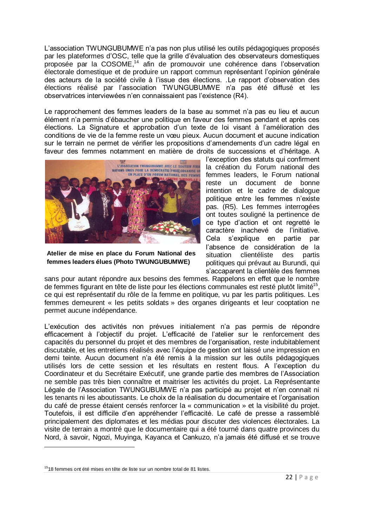L'association TWUNGUBUMWE n'a pas non plus utilisé les outils pédagogiques proposés par les plateformes d'OSC, telle que la grille d'évaluation des observateurs domestiques proposée par la COSOME, <sup>14</sup> afin de promouvoir une cohérence dans l'observation électorale domestique et de produire un rapport commun représentant l'opinion générale des acteurs de la société civile à l'issue des élections. .Le rapport d'observation des élections réalisé par l'association TWUNGUBUMWE n'a pas été diffusé et les observatrices interviewées n'en connaissaient pas l'existence (R4).

Le rapprochement des femmes leaders de la base au sommet n'a pas eu lieu et aucun élément n'a permis d'ébaucher une politique en faveur des femmes pendant et après ces élections. La Signature et approbation d'un texte de loi visant à l'amélioration des conditions de vie de la femme reste un vœu pieux. Aucun document et aucune indication sur le terrain ne permet de vérifier les propositions d'amendements d'un cadre légal en faveur des femmes notamment en matière de droits de successions et d'héritage. A



**Atelier de mise en place du Forum National des femmes leaders élues (Photo TWUNGUBUMWE)**

l'exception des statuts qui confirment la création du Forum national des femmes leaders, le Forum national reste un document de bonne intention et le cadre de dialogue politique entre les femmes n'existe pas. (R5). Les femmes interrogées ont toutes souligné la pertinence de ce type d'action et ont regretté le caractère inachevé de l'initiative. Cela s'explique en partie par l'absence de considération de la situation clientéliste des partis politiques qui prévaut au Burundi, qui s'accaparent la clientèle des femmes

sans pour autant répondre aux besoins des femmes. Rappelons en effet que le nombre de femmes figurant en tête de liste pour les élections communales est resté plutôt limité<sup>15</sup>, ce qui est représentatif du rôle de la femme en politique, vu par les partis politiques. Les femmes demeurent « les petits soldats » des organes dirigeants et leur cooptation ne permet aucune indépendance.

L'exécution des activités non prévues initialement n'a pas permis de répondre efficacement à l'objectif du projet. L'efficacité de l'atelier sur le renforcement des capacités du personnel du projet et des membres de l'organisation, reste indubitablement discutable, et les entretiens réalisés avec l'équipe de gestion ont laissé une impression en demi teinte. Aucun document n'a été remis à la mission sur les outils pédagogiques utilisés lors de cette session et les résultats en restent flous. A l'exception du Coordinateur et du Secrétaire Exécutif, une grande partie des membres de l'Association ne semble pas très bien connaître et maitriser les activités du projet. La Représentante Légale de l'Association TWUNGUBUMWE n'a pas participé au projet et n'en connait ni les tenants ni les aboutissants. Le choix de la réalisation du documentaire et l'organisation du café de presse étaient censés renforcer la « communication » et la visibilité du projet. Toutefois, il est difficile d'en appréhender l'efficacité. Le café de presse a rassemblé principalement des diplomates et les médias pour discuter des violences électorales. La visite de terrain a montré que le documentaire qui a été tourné dans quatre provinces du Nord, à savoir, Ngozi, Muyinga, Kayanca et Cankuzo, n'a jamais été diffusé et se trouve

 $\overline{a}$ 

 $1518$  femmes ont été mises en tête de liste sur un nombre total de 81 listes.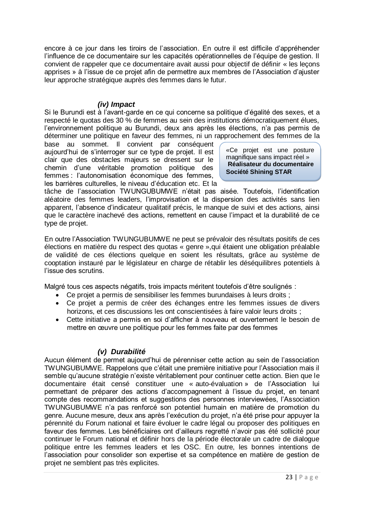encore à ce jour dans les tiroirs de l'association. En outre il est difficile d'appréhender l'influence de ce documentaire sur les capacités opérationnelles de l'équipe de gestion. Il convient de rappeler que ce documentaire avait aussi pour objectif de définir « les leçons apprises » à l'issue de ce projet afin de permettre aux membres de l'Association d'ajuster leur approche stratégique auprès des femmes dans le futur.

#### *(iv) Impact*

<span id="page-25-0"></span>Si le Burundi est à l'avant-garde en ce qui concerne sa politique d'égalité des sexes, et a respecté le quotas des 30 % de femmes au sein des institutions démocratiquement élues, l'environnement politique au Burundi, deux ans après les élections, n'a pas permis de déterminer une politique en faveur des femmes, ni un rapprochement des femmes de la

base au sommet. Il convient par conséquent aujourd'hui de s'interroger sur ce type de projet. Il est clair que des obstacles majeurs se dressent sur le chemin d'une véritable promotion politique des femmes : l'autonomisation économique des femmes, les barrières culturelles, le niveau d'éducation etc. Et la

«Ce projet est une posture magnifique sans impact réel » **Réalisateur du documentaire Société Shining STAR**

tâche de l'association TWUNGUBUMWE n'était pas aisée. Toutefois, l'identification aléatoire des femmes leaders, l'improvisation et la dispersion des activités sans lien apparent, l'absence d'indicateur qualitatif précis, le manque de suivi et des actions, ainsi que le caractère inachevé des actions, remettent en cause l'impact et la durabilité de ce type de projet.

En outre l'Association TWUNGUBUMWE ne peut se prévaloir des résultats positifs de ces élections en matière du respect des quotas « genre »,qui étaient une obligation préalable de validité de ces élections quelque en soient les résultats, grâce au système de cooptation instauré par le législateur en charge de rétablir les déséquilibres potentiels à l'issue des scrutins.

Malgré tous ces aspects négatifs, trois impacts méritent toutefois d'être soulignés :

- Ce projet a permis de sensibiliser les femmes burundaises à leurs droits ;
- Ce projet a permis de créer des échanges entre les femmes issues de divers horizons, et ces discussions les ont conscientisées à faire valoir leurs droits ;
- Cette initiative a permis en soi d'afficher à nouveau et ouvertement le besoin de mettre en œuvre une politique pour les femmes faite par des femmes

#### *(v) Durabilité*

<span id="page-25-1"></span>Aucun élément de permet aujourd'hui de pérenniser cette action au sein de l'association TWUNGUBUMWE. Rappelons que c'était une première initiative pour l'Association mais il semble qu'aucune stratégie n'existe véritablement pour continuer cette action. Bien que le documentaire était censé constituer une « auto-évaluation » de l'Association lui permettant de préparer des actions d'accompagnement à l'issue du projet, en tenant compte des recommandations et suggestions des personnes interviewées, l'Association TWUNGUBUMWE n'a pas renforcé son potentiel humain en matière de promotion du genre. Aucune mesure, deux ans après l'exécution du projet, n'a été prise pour appuyer la pérennité du Forum national et faire évoluer le cadre légal ou proposer des politiques en faveur des femmes. Les bénéficiaires ont d'ailleurs regretté n'avoir pas été sollicité pour continuer le Forum national et définir hors de la période électorale un cadre de dialogue politique entre les femmes leaders et les OSC. En outre, les bonnes intentions de l'association pour consolider son expertise et sa compétence en matière de gestion de projet ne semblent pas très explicites.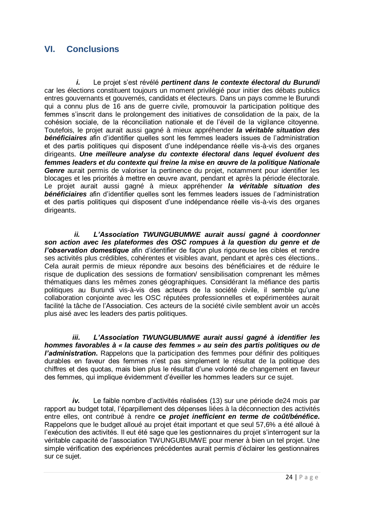## <span id="page-26-0"></span>**VI. Conclusions**

*i.* Le projet s'est révélé *pertinent dans le contexte électoral du Burundi* car les élections constituent toujours un moment privilégié pour initier des débats publics entres gouvernants et gouvernés, candidats et électeurs. Dans un pays comme le Burundi qui a connu plus de 16 ans de guerre civile, promouvoir la participation politique des femmes s'inscrit dans le prolongement des initiatives de consolidation de la paix, de la cohésion sociale, de la réconciliation nationale et de l'éveil de la vigilance citoyenne. Toutefois, le projet aurait aussi gagné à mieux appréhender *la véritable situation des bénéficiaires* afin d'identifier quelles sont les femmes leaders issues de l'administration et des partis politiques qui disposent d'une indépendance réelle vis-à-vis des organes dirigeants. *Une meilleure analyse du contexte électoral dans lequel évoluent des femmes leaders et du contexte qui freine la mise en œuvre de la politique Nationale Genre* aurait permis de valoriser la pertinence du projet, notamment pour identifier les blocages et les priorités à mettre en œuvre avant, pendant et après la période électorale. Le projet aurait aussi gagné à mieux appréhender *la véritable situation des bénéficiaires* afin d'identifier quelles sont les femmes leaders issues de l'administration et des partis politiques qui disposent d'une indépendance réelle vis-à-vis des organes dirigeants.

*ii. L'Association TWUNGUBUMWE aurait aussi gagné à coordonner son action avec les plateformes des OSC rompues à la question du genre et de l'observation domestique* afin d'identifier de façon plus rigoureuse les cibles et rendre ses activités plus crédibles, cohérentes et visibles avant, pendant et après ces élections.. Cela aurait permis de mieux répondre aux besoins des bénéficiaires et de réduire le risque de duplication des sessions de formation/ sensibilisation comprenant les mêmes thématiques dans les mêmes zones géographiques. Considérant la méfiance des partis politiques au Burundi vis-à-vis des acteurs de la société civile, il semble qu'une collaboration conjointe avec les OSC réputées professionnelles et expérimentées aurait facilité la tâche de l'Association. Ces acteurs de la société civile semblent avoir un accès plus aisé avec les leaders des partis politiques.

*iii. L'Association TWUNGUBUMWE aurait aussi gagné à identifier les hommes favorables à « la cause des femmes » au sein des partis politiques ou de l'administration***.** Rappelons que la participation des femmes pour définir des politiques durables en faveur des femmes n'est pas simplement le résultat de la politique des chiffres et des quotas, mais bien plus le résultat d'une volonté de changement en faveur des femmes, qui implique évidemment d'éveiller les hommes leaders sur ce sujet.

*iv.* Le faible nombre d'activités réalisées (13) sur une période de24 mois par rapport au budget total, l'éparpillement des dépenses liées à la déconnection des activités entre elles, ont contribué à rendre **ce** *projet inefficient en terme de coût/bénéfice***.** Rappelons que le budget alloué au projet était important et que seul 57,6% a été alloué à l'exécution des activités. Il eut été sage que les gestionnaires du projet s'interrogent sur la véritable capacité de l'association TWUNGUBUMWE pour mener à bien un tel projet. Une simple vérification des expériences précédentes aurait permis d'éclairer les gestionnaires sur ce sujet.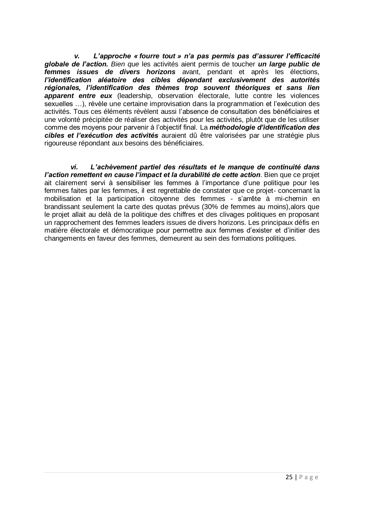*v. L'approche « fourre tout » n'a pas permis pas d'assurer l'efficacité globale de l'action. Bien que* les activités aient permis de toucher *un large public de femmes issues de divers horizons* avant, pendant et après les élections, *l'identification aléatoire des cibles dépendant exclusivement des autorités régionales, l'identification des thèmes trop souvent théoriques et sans lien apparent entre eux* (leadership, observation électorale, lutte contre les violences sexuelles …), révèle une certaine improvisation dans la programmation et l'exécution des activités. Tous ces éléments révèlent aussi l'absence de consultation des bénéficiaires et une volonté précipitée de réaliser des activités pour les activités, plutôt que de les utiliser comme des moyens pour parvenir à l'objectif final. La *méthodologie d'identification des cibles et l'exécution des activités* auraient dû être valorisées par une stratégie plus rigoureuse répondant aux besoins des bénéficiaires.

*vi. L'achèvement partiel des résultats et le manque de continuité dans l'action remettent en cause l'impact et la durabilité de cette action*. Bien que ce projet ait clairement servi à sensibiliser les femmes à l'importance d'une politique pour les femmes faites par les femmes, il est regrettable de constater que ce projet- concernant la mobilisation et la participation citoyenne des femmes - s'arrête à mi-chemin en brandissant seulement la carte des quotas prévus (30% de femmes au moins),alors que le projet allait au delà de la politique des chiffres et des clivages politiques en proposant un rapprochement des femmes leaders issues de divers horizons. Les principaux défis en matière électorale et démocratique pour permettre aux femmes d'exister et d'initier des changements en faveur des femmes, demeurent au sein des formations politiques.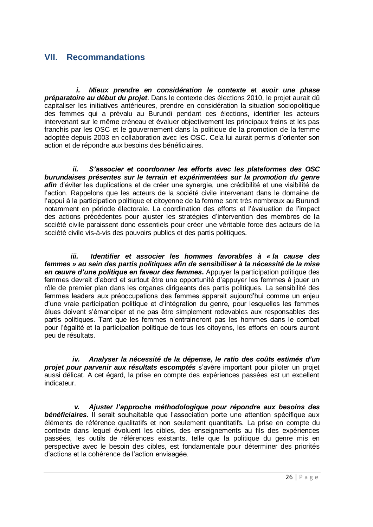## <span id="page-28-0"></span>**VII. Recommandations**

*i. Mieux prendre en considération le contexte e*t *avoir une phase préparatoire au début du projet*. Dans le contexte des élections 2010, le projet aurait dû capitaliser les initiatives antérieures, prendre en considération la situation sociopolitique des femmes qui a prévalu au Burundi pendant ces élections, identifier les acteurs intervenant sur le même créneau et évaluer objectivement les principaux freins et les pas franchis par les OSC et le gouvernement dans la politique de la promotion de la femme adoptée depuis 2003 en collaboration avec les OSC. Cela lui aurait permis d'orienter son action et de répondre aux besoins des bénéficiaires.

*ii. S'associer et coordonner les efforts avec les plateformes des OSC burundaises présentes sur le terrain et expérimentées sur la promotion du genre* afin d'éviter les duplications et de créer une synergie, une crédibilité et une visibilité de l'action. Rappelons que les acteurs de la société civile intervenant dans le domaine de l'appui à la participation politique et citoyenne de la femme sont très nombreux au Burundi notamment en période électorale. La coordination des efforts et l'évaluation de l'impact des actions précédentes pour ajuster les stratégies d'intervention des membres de la société civile paraissent donc essentiels pour créer une véritable force des acteurs de la société civile vis-à-vis des pouvoirs publics et des partis politiques.

*iii. Identifier et associer les hommes favorables à « la cause des femmes » au sein des partis politiques afin de sensibiliser à la nécessité de la mise en œuvre d'une politique en faveur des femmes***.** Appuyer la participation politique des femmes devrait d'abord et surtout être une opportunité d'appuyer les femmes à jouer un rôle de premier plan dans les organes dirigeants des partis politiques. La sensibilité des femmes leaders aux préoccupations des femmes apparait aujourd'hui comme un enjeu d'une vraie participation politique et d'intégration du genre, pour lesquelles les femmes élues doivent s'émanciper et ne pas être simplement redevables aux responsables des partis politiques. Tant que les femmes n'entraineront pas les hommes dans le combat pour l'égalité et la participation politique de tous les citoyens, les efforts en cours auront peu de résultats.

*iv. Analyser la nécessité de la dépense, le ratio des coûts estimés d'un projet pour parvenir aux résultats escomptés* s'avère important pour piloter un projet aussi délicat. A cet égard, la prise en compte des expériences passées est un excellent indicateur.

*v. Ajuster l'approche méthodologique pour répondre aux besoins des bénéficiaires*. Il serait souhaitable que l'association porte une attention spécifique aux éléments de référence qualitatifs et non seulement quantitatifs. La prise en compte du contexte dans lequel évoluent les cibles, des enseignements au fils des expériences passées, les outils de références existants, telle que la politique du genre mis en perspective avec le besoin des cibles, est fondamentale pour déterminer des priorités d'actions et la cohérence de l'action envisagée.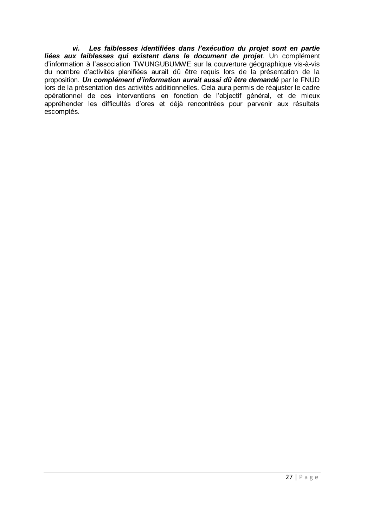*vi. Les faiblesses identifiées dans l'exécution du projet sont en partie liées aux faiblesses qui existent dans le document de projet*. Un complément d'information à l'association TWUNGUBUMWE sur la couverture géographique vis-à-vis du nombre d'activités planifiées aurait dû être requis lors de la présentation de la proposition. *Un complément d'information aurait aussi dû être demandé* par le FNUD lors de la présentation des activités additionnelles. Cela aura permis de réajuster le cadre opérationnel de ces interventions en fonction de l'objectif général, et de mieux appréhender les difficultés d'ores et déjà rencontrées pour parvenir aux résultats escomptés.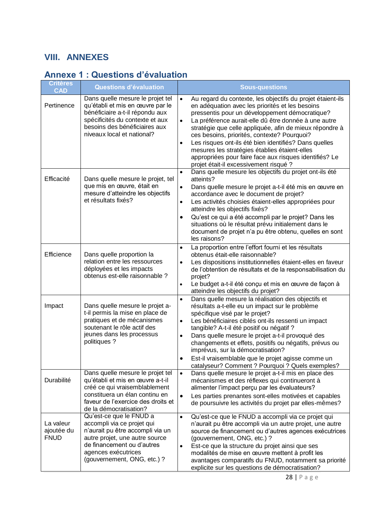## <span id="page-30-0"></span>**VIII. ANNEXES**

# <span id="page-30-1"></span>**Annexe 1 : Questions d'évaluation**

| <b>Critères</b><br><b>CAD</b>          | <b>Questions d'évaluation</b>                                                                                                                                                                                   | <b>Sous-questions</b>                                                                                                                                                                                                                                                                                                                                                                                                                                                                                                                                                                  |
|----------------------------------------|-----------------------------------------------------------------------------------------------------------------------------------------------------------------------------------------------------------------|----------------------------------------------------------------------------------------------------------------------------------------------------------------------------------------------------------------------------------------------------------------------------------------------------------------------------------------------------------------------------------------------------------------------------------------------------------------------------------------------------------------------------------------------------------------------------------------|
| Pertinence                             | Dans quelle mesure le projet tel<br>qu'établi et mis en œuvre par le<br>bénéficiaire a-t-il répondu aux<br>spécificités du contexte et aux<br>besoins des bénéficiaires aux<br>niveaux local et national?       | Au regard du contexte, les objectifs du projet étaient-ils<br>$\bullet$<br>en adéquation avec les priorités et les besoins<br>pressentis pour un développement démocratique?<br>La préférence aurait-elle dû être donnée à une autre<br>$\bullet$<br>stratégie que celle appliquée, afin de mieux répondre à<br>ces besoins, priorités, contexte? Pourquoi?<br>Les risques ont-ils été bien identifiés? Dans quelles<br>$\bullet$<br>mesures les stratégies établies étaient-elles<br>appropriées pour faire face aux risques identifiés? Le<br>projet était-il excessivement risqué ? |
| Efficacité                             | Dans quelle mesure le projet, tel<br>que mis en œuvre, était en<br>mesure d'atteindre les objectifs<br>et résultats fixés?                                                                                      | Dans quelle mesure les objectifs du projet ont-ils été<br>$\bullet$<br>atteints?<br>Dans quelle mesure le projet a-t-il été mis en œuvre en<br>$\bullet$<br>accordance avec le document de projet?<br>Les activités choisies étaient-elles appropriées pour<br>$\bullet$<br>atteindre les objectifs fixés?<br>Qu'est ce qui a été accompli par le projet? Dans les<br>situations où le résultat prévu initialement dans le<br>document de projet n'a pu être obtenu, quelles en sont<br>les raisons?                                                                                   |
| Efficience                             | Dans quelle proportion la<br>relation entre les ressources<br>déployées et les impacts<br>obtenus est-elle raisonnable ?                                                                                        | La proportion entre l'effort fourni et les résultats<br>obtenus était-elle raisonnable?<br>Les dispositions institutionnelles étaient-elles en faveur<br>$\bullet$<br>de l'obtention de résultats et de la responsabilisation du<br>projet?<br>Le budget a-t-il été conçu et mis en œuvre de façon à<br>$\bullet$<br>atteindre les objectifs du projet?                                                                                                                                                                                                                                |
| Impact                                 | Dans quelle mesure le projet a-<br>t-il permis la mise en place de<br>pratiques et de mécanismes<br>soutenant le rôle actif des<br>jeunes dans les processus<br>politiques ?                                    | Dans quelle mesure la réalisation des objectifs et<br>$\bullet$<br>résultats a-t-elle eu un impact sur le problème<br>spécifique visé par le projet?<br>Les bénéficiaires ciblés ont-ils ressenti un impact<br>$\bullet$<br>tangible? A-t-il été positif ou négatif ?<br>Dans quelle mesure le projet a-t-il provoqué des<br>$\bullet$<br>changements et effets, positifs ou négatifs, prévus ou<br>imprévus, sur la démocratisation?<br>Est-il vraisemblable que le projet agisse comme un<br>catalyseur? Comment ? Pourquoi ? Quels exemples?                                        |
| Durabilité                             | Dans quelle mesure le projet tel<br>qu'établi et mis en œuvre a-t-il<br>créé ce qui vraisemblablement<br>constituera un élan continu en<br>faveur de l'exercice des droits et<br>de la démocratisation?         | Dans quelle mesure le projet a-t-il mis en place des<br>$\bullet$<br>mécanismes et des réflexes qui continueront à<br>alimenter l'impact perçu par les évaluateurs?<br>Les parties prenantes sont-elles motivées et capables<br>$\bullet$<br>de poursuivre les activités du projet par elles-mêmes?                                                                                                                                                                                                                                                                                    |
| La valeur<br>ajoutée du<br><b>FNUD</b> | Qu'est-ce que le FNUD a<br>accompli via ce projet qui<br>n'aurait pu être accompli via un<br>autre projet, une autre source<br>de financement ou d'autres<br>agences exécutrices<br>(gouvernement, ONG, etc.) ? | Qu'est-ce que le FNUD a accompli via ce projet qui<br>$\bullet$<br>n'aurait pu être accompli via un autre projet, une autre<br>source de financement ou d'autres agences exécutrices<br>(gouvernement, ONG, etc.) ?<br>Est-ce que la structure du projet ainsi que ses<br>$\bullet$<br>modalités de mise en œuvre mettent à profit les<br>avantages comparatifs du FNUD, notamment sa priorité<br>explicite sur les questions de démocratisation?                                                                                                                                      |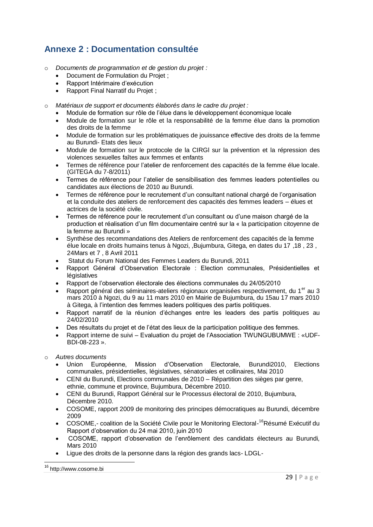## <span id="page-31-0"></span>**Annexe 2 : Documentation consultée**

- o *Documents de programmation et de gestion du projet :*
	- Document de Formulation du Projet ;
	- Rapport Intérimaire d'exécution
	- Rapport Final Narratif du Projet ;
- o *Matériaux de support et documents élaborés dans le cadre du projet :*
	- Module de formation sur rôle de l'élue dans le développement économique locale
	- Module de formation sur le rôle et la responsabilité de la femme élue dans la promotion des droits de la femme
	- Module de formation sur les problématiques de jouissance effective des droits de la femme au Burundi- Etats des lieux
	- Module de formation sur le protocole de la CIRGl sur la prévention et la répression des violences sexuelles faîtes aux femmes et enfants
	- Termes de référence pour l'atelier de renforcement des capacités de la femme élue locale. (GITEGA du 7-8/2011)
	- Termes de référence pour l'atelier de sensibilisation des femmes leaders potentielles ou candidates aux élections de 2010 au Burundi.
	- Termes de référence pour le recrutement d'un consultant national chargé de l'organisation et la conduite des ateliers de renforcement des capacités des femmes leaders – élues et actrices de la société civile.
	- Termes de référence pour le recrutement d'un consultant ou d'une maison chargé de la production et réalisation d'un film documentaire centré sur la « la participation citoyenne de la femme au Burundi »
	- Synthèse des recommandations des Ateliers de renforcement des capacités de la femme élue locale en droits humains tenus à Ngozi, ,Bujumbura, Gitega, en dates du 17 ,18 , 23 , 24Mars et 7 , 8 Avril 2011
	- Statut du Forum National des Femmes Leaders du Burundi, 2011
	- Rapport Général d'Observation Electorale : Election communales, Présidentielles et législatives
	- Rapport de l'observation électorale des élections communales du 24/05/2010
	- Rapport général des séminaires-ateliers régionaux organisées respectivement, du 1<sup>er</sup> au 3 mars 2010 à Ngozi, du 9 au 11 mars 2010 en Mairie de Bujumbura, du 15au 17 mars 2010 à Gitega, à l'intention des femmes leaders politiques des partis politiques.
	- Rapport narratif de la réunion d'échanges entre les leaders des partis politiques au 24/02/2010
	- Des résultats du projet et de l'état des lieux de la participation politique des femmes.
	- Rapport interne de suivi Evaluation du projet de l'Association TWUNGUBUMWE : «UDF-BDI-08-223 ».
- o *Autres documents*
	- Union Européenne, Mission d'Observation Electorale, Burundi2010, Elections communales, présidentielles, législatives, sénatoriales et collinaires, Mai 2010
	- CENI du Burundi, Elections communales de 2010 Répartition des sièges par genre, ethnie, commune et province, Bujumbura, Décembre 2010.
	- CENI du Burundi, Rapport Général sur le Processus électoral de 2010, Bujumbura, Décembre 2010.
	- COSOME, rapport 2009 de monitoring des principes démocratiques au Burundi, décembre 2009
	- COSOME,- coalition de la Société Civile pour le Monitoring Electoral-<sup>16</sup>Résumé Exécutif du Rapport d'observation du 24 mai 2010, juin 2010
	- COSOME, rapport d'observation de l'enrôlement des candidats électeurs au Burundi, Mars 2010
	- Ligue des droits de la personne dans la région des grands lacs- LDGL-

 $\overline{\phantom{a}}$ <sup>16</sup> http://www.cosome.bi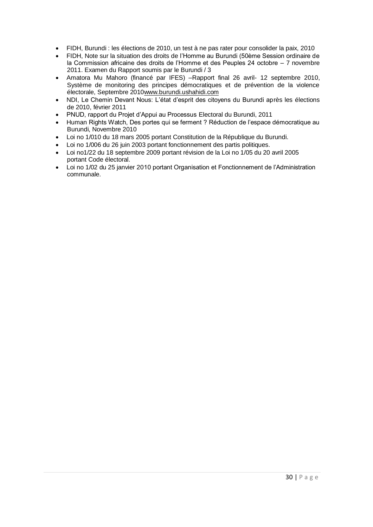- FIDH, Burundi : les élections de 2010, un test à ne pas rater pour consolider la paix, 2010
- FIDH, Note sur la situation des droits de l'Homme au Burundi (50ème Session ordinaire de la Commission africaine des droits de l'Homme et des Peuples 24 octobre – 7 novembre 2011. Examen du Rapport soumis par le Burundi / 3
- Amatora Mu Mahoro (financé par IFES) –Rapport final 26 avril- 12 septembre 2010, Système de monitoring des principes démocratiques et de prévention de la violence électorale, Septembre 201[0www.burundi.ushahidi.com](http://www.burundi.ushahidi.com/)
- NDI, Le Chemin Devant Nous: L'état d'esprit des citoyens du Burundi après les élections de 2010, février 2011
- PNUD, rapport du Projet d'Appui au Processus Electoral du Burundi, 2011
- Human Rights Watch, Des portes qui se ferment ? Réduction de l'espace démocratique au Burundi, Novembre 2010
- Loi no 1/010 du 18 mars 2005 portant Constitution de la République du Burundi.
- Loi no 1/006 du 26 juin 2003 portant fonctionnement des partis politiques.
- Loi no1/22 du 18 septembre 2009 portant révision de la Loi no 1/05 du 20 avril 2005 portant Code électoral.
- Loi no 1/02 du 25 janvier 2010 portant Organisation et Fonctionnement de l'Administration communale.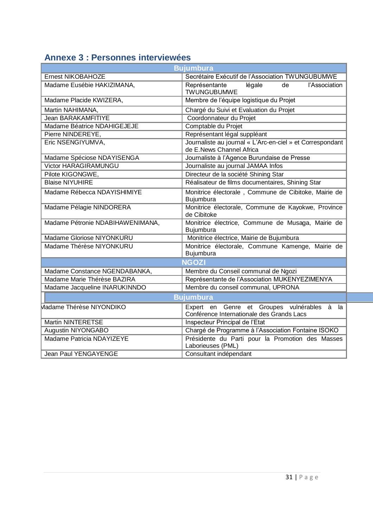# <span id="page-33-0"></span>**Annexe 3 : Personnes interviewées**

|                                  | <b>Bujumbura</b>                                                                               |
|----------------------------------|------------------------------------------------------------------------------------------------|
| <b>Ernest NIKOBAHOZE</b>         | Secrétaire Exécutif de l'Association TWUNGUBUMWE                                               |
| Madame Eusébie HAKIZIMANA,       | légale<br>de<br>l'Association<br>Représentante<br><b>TWUNGUBUMWE</b>                           |
| Madame Placide KWIZERA,          | Membre de l'équipe logistique du Projet                                                        |
| Martin NAHIMANA,                 | Chargé du Suivi et Evaluation du Projet                                                        |
| <b>Jean BARAKAMFITIYE</b>        | Coordonnateur du Projet                                                                        |
| Madame Béatrice NDAHIGEJEJE      | Comptable du Projet                                                                            |
| Pierre NINDEREYE,                | Représentant légal suppléant                                                                   |
| Eric NSENGIYUMVA,                | Journaliste au journal « L'Arc-en-ciel » et Correspondant<br>de E.News Channel Africa          |
| Madame Spéciose NDAYISENGA       | Journaliste à l'Agence Burundaise de Presse                                                    |
| <b>Victor HARAGIRAMUNGU</b>      | Journaliste au journal JAMAA Infos                                                             |
| Pilote KIGONGWE,                 | Directeur de la société Shining Star                                                           |
| <b>Blaise NIYUHIRE</b>           | Réalisateur de films documentaires, Shining Star                                               |
| Madame Rébecca NDAYISHIMIYE      | Monitrice électorale, Commune de Cibitoke, Mairie de<br>Bujumbura                              |
| Madame Pélagie NINDORERA         | Monitrice électorale, Commune de Kayokwe, Province<br>de Cibitoke                              |
| Madame Pétronie NDABIHAWENIMANA, | Monitrice électrice, Commune de Musaga, Mairie de<br>Bujumbura                                 |
| Madame Gloriose NIYONKURU        | Monitrice électrice, Mairie de Bujumbura                                                       |
| Madame Thérèse NIYONKURU         | Monitrice électorale, Commune Kamenge, Mairie de<br>Bujumbura                                  |
|                                  | <b>NGOZI</b>                                                                                   |
| Madame Constance NGENDABANKA,    | Membre du Conseil communal de Ngozi                                                            |
| Madame Marie Thérèse BAZIRA      | Représentante de l'Association MUKENYEZIMENYA                                                  |
| Madame Jacqueline INARUKINNDO    | Membre du conseil communal, UPRONA                                                             |
|                                  | <b>Bujumbura</b>                                                                               |
| Madame Thérèse NIYONDIKO         | Expert en Genre et Groupes vulnérables<br>à<br>la<br>Conférence Internationale des Grands Lacs |
| <b>Martin NINTERETSE</b>         | Inspecteur Principal de l'Etat                                                                 |
| Augustin NIYONGABO               | Chargé de Programme à l'Association Fontaine ISOKO                                             |
| Madame Patricia NDAYIZEYE        | Présidente du Parti pour la Promotion des Masses<br>Laborieuses (PML)                          |
| Jean Paul YENGAYENGE             | Consultant indépendant                                                                         |